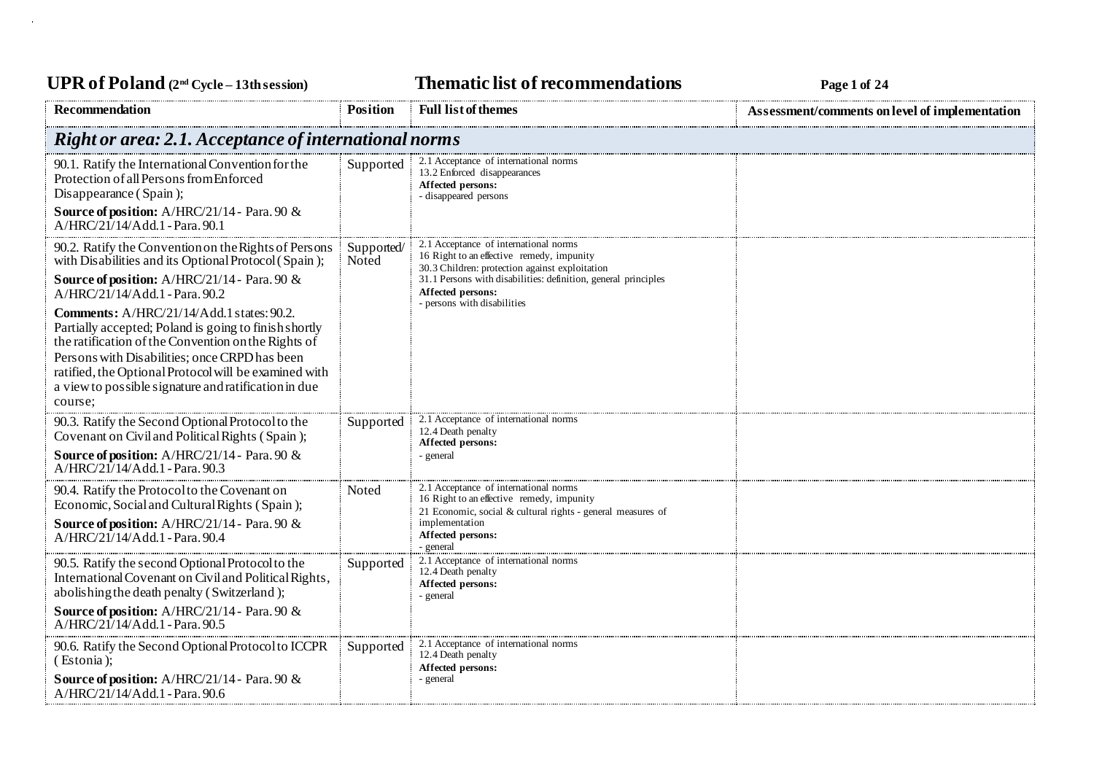UPR of Poland  $(2^{nd}$  Cycle – 13th session) **Thematic list of recommendations Page 1** of 24

| Recommendation                                                                                                                                                                                                                                                                            | <b>Position</b>     | <b>Full list of themes</b>                                                                                                                                                                                                                                 | Assessment/comments on level of implementation |
|-------------------------------------------------------------------------------------------------------------------------------------------------------------------------------------------------------------------------------------------------------------------------------------------|---------------------|------------------------------------------------------------------------------------------------------------------------------------------------------------------------------------------------------------------------------------------------------------|------------------------------------------------|
| <b>Right or area: 2.1. Acceptance of international norms</b>                                                                                                                                                                                                                              |                     |                                                                                                                                                                                                                                                            |                                                |
| 90.1. Ratify the International Convention for the<br>Protection of all Persons from Enforced<br>Disappearance (Spain);<br><b>Source of position:</b> A/HRC/21/14 - Para. 90 &                                                                                                             | Supported           | 2.1 Acceptance of international norms<br>13.2 Enforced disappearances<br>Affected persons:<br>- disappeared persons                                                                                                                                        |                                                |
| $A/HRC/21/14/Add.1$ - Para, 90.1                                                                                                                                                                                                                                                          |                     |                                                                                                                                                                                                                                                            |                                                |
| 90.2. Ratify the Convention on the Rights of Persons<br>with Disabilities and its Optional Protocol (Spain);<br>Source of position: A/HRC/21/14 - Para. 90 &<br>A/HRC/21/14/Add.1 - Para, 90.2<br>Comments: A/HRC/21/14/Add.1 states: 90.2.                                               | Supported/<br>Noted | 2.1 Acceptance of international norms<br>16 Right to an effective remedy, impunity<br>30.3 Children: protection against exploitation<br>31.1 Persons with disabilities: definition, general principles<br>Affected persons:<br>- persons with disabilities |                                                |
| Partially accepted; Poland is going to finish shortly<br>the ratification of the Convention on the Rights of<br>Persons with Disabilities; once CRPD has been<br>ratified, the Optional Protocol will be examined with<br>a view to possible signature and ratification in due<br>course; |                     |                                                                                                                                                                                                                                                            |                                                |
| 90.3. Ratify the Second Optional Protocol to the<br>Covenant on Civil and Political Rights (Spain);<br><b>Source of position:</b> A/HRC/21/14 - Para. 90 &<br>A/HRC/21/14/Add.1 - Para. 90.3                                                                                              | Supported           | 2.1 Acceptance of international norms<br>12.4 Death penalty<br>Affected persons:<br>- general                                                                                                                                                              |                                                |
| 90.4. Ratify the Protocol to the Covenant on<br>Economic, Social and Cultural Rights (Spain);<br>Source of position: A/HRC/21/14 - Para. 90 &<br>A/HRC/21/14/Add.1 - Para. 90.4                                                                                                           | Noted               | 2.1 Acceptance of international norms<br>16 Right to an effective remedy, impunity<br>21 Economic, social & cultural rights - general measures of<br>implementation<br>Affected persons:<br>- general                                                      |                                                |
| 90.5. Ratify the second Optional Protocol to the<br>International Covenant on Civil and Political Rights,<br>abolishing the death penalty (Switzerland);<br>Source of position: A/HRC/21/14 - Para. 90 &<br>A/HRC/21/14/Add.1 - Para. 90.5                                                | Supported           | 2.1 Acceptance of international norms<br>12.4 Death penalty<br>Affected persons:<br>- general                                                                                                                                                              |                                                |
| 90.6. Ratify the Second Optional Protocol to ICCPR<br>(Estonia);<br><b>Source of position:</b> A/HRC/21/14 - Para. 90 &<br>A/HRC/21/14/Add.1 - Para. 90.6                                                                                                                                 | Supported           | 2.1 Acceptance of international norms<br>12.4 Death penalty<br>Affected persons:<br>- general                                                                                                                                                              |                                                |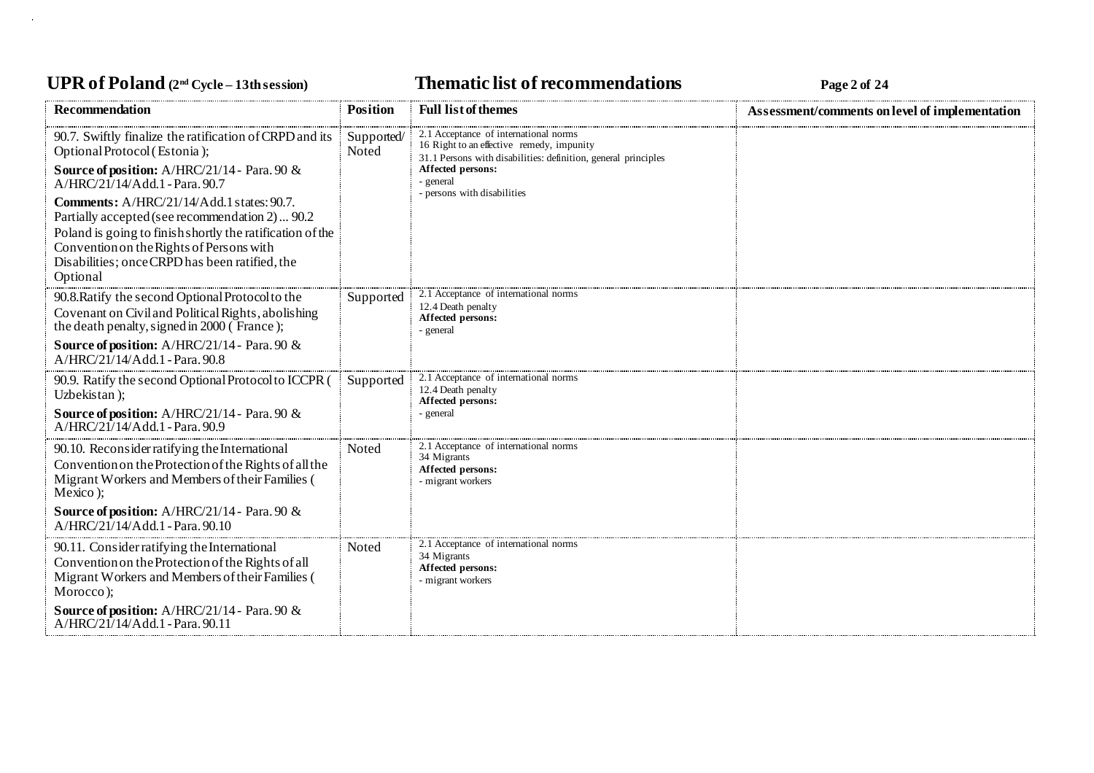### UPR of Poland  $(2^{nd}$  Cycle – 13th session) **Thematic list of recommendations Page 2** of 24

| <b>Recommendation</b>                                                                                                                                                                                                                                               | <b>Position</b>     | <b>Full list of themes</b>                                                                                                                                                           | Assessment/comments on level of implementation |
|---------------------------------------------------------------------------------------------------------------------------------------------------------------------------------------------------------------------------------------------------------------------|---------------------|--------------------------------------------------------------------------------------------------------------------------------------------------------------------------------------|------------------------------------------------|
| 90.7. Swiftly finalize the ratification of CRPD and its<br>Optional Protocol (Estonia);<br>Source of position: A/HRC/21/14 - Para. 90 &<br>A/HRC/21/14/Add.1 - Para. 90.7                                                                                           | Supported/<br>Noted | 2.1 Acceptance of international norms<br>16 Right to an effective remedy, impunity<br>31.1 Persons with disabilities: definition, general principles<br>Affected persons:<br>general |                                                |
| Comments: A/HRC/21/14/Add.1 states: 90.7.<br>Partially accepted (see recommendation 2)  90.2<br>Poland is going to finish shortly the ratification of the<br>Convention on the Rights of Persons with<br>Disabilities; once CRPD has been ratified, the<br>Optional |                     | persons with disabilities                                                                                                                                                            |                                                |
| 90.8. Ratify the second Optional Protocol to the<br>Covenant on Civil and Political Rights, abolishing<br>the death penalty, signed in 2000 (France);                                                                                                               | Supported           | 2.1 Acceptance of international norms<br>12.4 Death penalty<br>Affected persons:<br>general                                                                                          |                                                |
| Source of position: A/HRC/21/14 - Para. 90 &<br>A/HRC/21/14/Add.1 - Para. 90.8                                                                                                                                                                                      |                     |                                                                                                                                                                                      |                                                |
| 90.9. Ratify the second Optional Protocol to ICCPR (<br>Uzbekistan);<br><b>Source of position:</b> A/HRC/21/14 - Para. 90 $\&$<br>A/HRC/21/14/Add.1 - Para. 90.9                                                                                                    | Supported           | 2.1 Acceptance of international norms<br>12.4 Death penalty<br>Affected persons:<br>- general                                                                                        |                                                |
| 90.10. Reconsider ratifying the International<br>Convention on the Protection of the Rights of all the<br>Migrant Workers and Members of their Families (<br>Mexico);                                                                                               | Noted               | 2.1 Acceptance of international norms<br>34 Migrants<br>Affected persons:<br>- migrant workers                                                                                       |                                                |
| Source of position: A/HRC/21/14 - Para. 90 &<br>A/HRC/21/14/Add.1 - Para. 90.10                                                                                                                                                                                     |                     |                                                                                                                                                                                      |                                                |
| 90.11. Consider ratifying the International<br>Convention on the Protection of the Rights of all<br>Migrant Workers and Members of their Families (<br>Morocco);                                                                                                    | Noted               | 2.1 Acceptance of international norms<br>34 Migrants<br>Affected persons:<br>- migrant workers                                                                                       |                                                |
| Source of position: A/HRC/21/14 - Para. 90 &<br>A/HRC/21/14/Add.1 - Para. 90.11                                                                                                                                                                                     |                     |                                                                                                                                                                                      |                                                |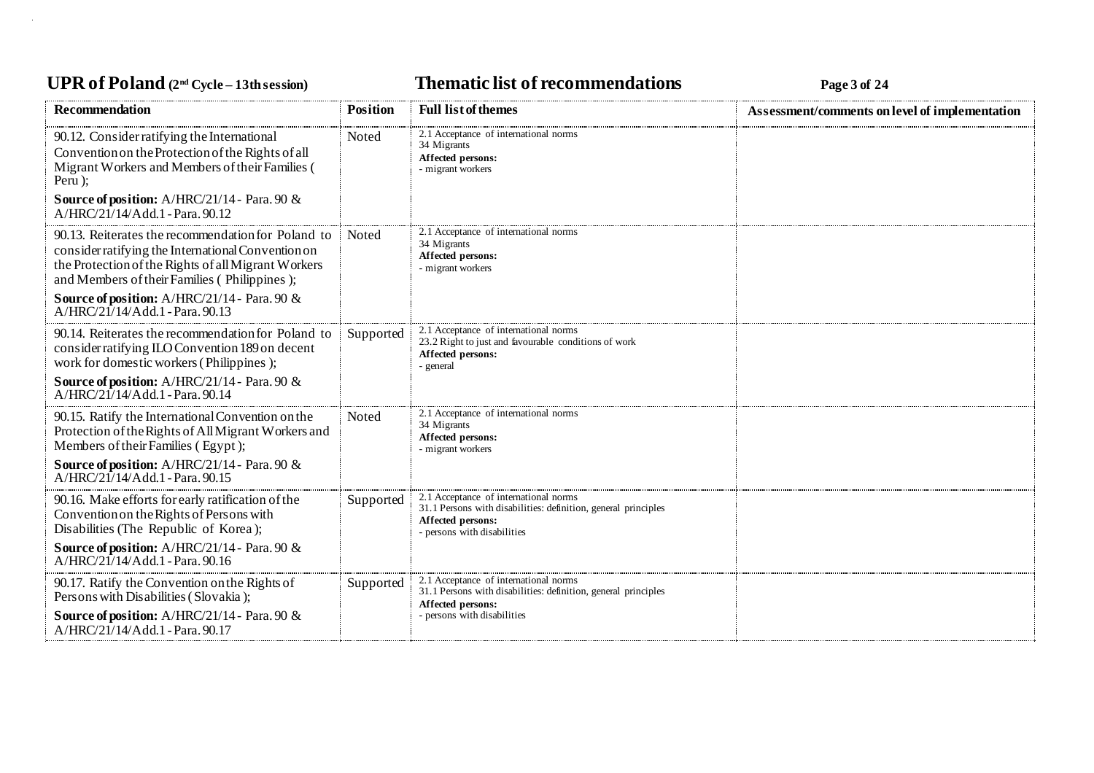# UPR of Poland  $(2^{nd}$  Cycle – 13th session) **Thematic list of recommendations Page 3** of 24

| <b>Recommendation</b>                                                                                                                                                                                                                                           | <b>Position</b> | <b>Full list of themes</b>                                                                                                                                | Assessment/comments on level of implementation |
|-----------------------------------------------------------------------------------------------------------------------------------------------------------------------------------------------------------------------------------------------------------------|-----------------|-----------------------------------------------------------------------------------------------------------------------------------------------------------|------------------------------------------------|
| 90.12. Consider ratifying the International<br>Convention on the Protection of the Rights of all<br>Migrant Workers and Members of their Families (<br>Peru);<br>Source of position: A/HRC/21/14 - Para. 90 &<br>A/HRC/21/14/Add.1 - Para. 90.12                | Noted           | 2.1 Acceptance of international norms<br>34 Migrants<br>Affected persons:<br>- migrant workers                                                            |                                                |
| 90.13. Reiterates the recommendation for Poland to<br>consider ratifying the International Convention on<br>the Protection of the Rights of all Migrant Workers<br>and Members of their Families (Philippines);<br>Source of position: A/HRC/21/14 - Para. 90 & | Noted           | 2.1 Acceptance of international norms<br>34 Migrants<br>Affected persons:<br>- migrant workers                                                            |                                                |
| A/HRC/21/14/Add.1 - Para. 90.13                                                                                                                                                                                                                                 |                 |                                                                                                                                                           |                                                |
| 90.14. Reiterates the recommendation for Poland to<br>consider ratifying ILO Convention 189 on decent<br>work for domestic workers (Philippines);                                                                                                               | Supported       | 2.1 Acceptance of international norms<br>23.2 Right to just and favourable conditions of work<br>Affected persons:<br>- general                           |                                                |
| Source of position: A/HRC/21/14 - Para. 90 &<br>A/HRC/21/14/Add.1 - Para. 90.14                                                                                                                                                                                 |                 |                                                                                                                                                           |                                                |
| 90.15. Ratify the International Convention on the<br>Protection of the Rights of All Migrant Workers and<br>Members of their Families (Egypt);                                                                                                                  | Noted           | 2.1 Acceptance of international norms<br>34 Migrants<br>Affected persons:<br>- migrant workers                                                            |                                                |
| <b>Source of position:</b> $A/HRC/21/14$ - Para. 90 $\&$<br>A/HRC/21/14/Add.1 - Para. 90.15                                                                                                                                                                     |                 |                                                                                                                                                           |                                                |
| 90.16. Make efforts for early ratification of the<br>Convention on the Rights of Persons with<br>Disabilities (The Republic of Korea);                                                                                                                          | Supported       | 2.1 Acceptance of international norms<br>31.1 Persons with disabilities: definition, general principles<br>Affected persons:<br>persons with disabilities |                                                |
| <b>Source of position:</b> A/HRC/21/14 - Para. 90 $\&$<br>A/HRC/21/14/Add.1 - Para. 90.16                                                                                                                                                                       |                 |                                                                                                                                                           |                                                |
| 90.17. Ratify the Convention on the Rights of<br>Persons with Disabilities (Slovakia);                                                                                                                                                                          | Supported       | 2.1 Acceptance of international norms<br>31.1 Persons with disabilities: definition, general principles<br>Affected persons:                              |                                                |
| Source of position: A/HRC/21/14 - Para. 90 &<br>A/HRC/21/14/Add.1 - Para, 90.17                                                                                                                                                                                 |                 | persons with disabilities                                                                                                                                 |                                                |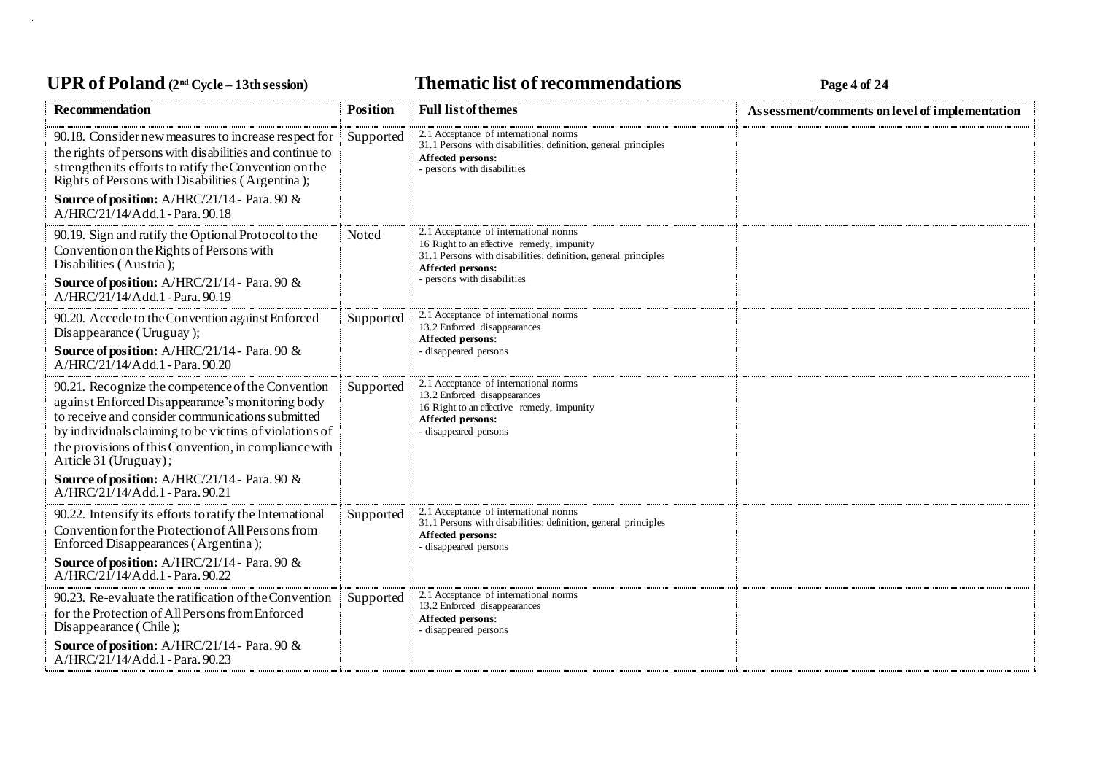# UPR of Poland  $(2^{nd}$  Cycle – 13th session) **Thematic list of recommendations Page 4** of 24

| <b>Recommendation</b>                                                                                                                                                                                                                                                                                 | <b>Position</b> | <b>Full list of themes</b>                                                                                                                                                | Assessment/comments on level of implementation |
|-------------------------------------------------------------------------------------------------------------------------------------------------------------------------------------------------------------------------------------------------------------------------------------------------------|-----------------|---------------------------------------------------------------------------------------------------------------------------------------------------------------------------|------------------------------------------------|
| 90.18. Consider new measures to increase respect for<br>the rights of persons with disabilities and continue to<br>strengthen its efforts to ratify the Convention on the<br>Rights of Persons with Disabilities (Argentina);                                                                         | Supported       | 2.1 Acceptance of international norms<br>31.1 Persons with disabilities: definition, general principles<br>Affected persons:<br>- persons with disabilities               |                                                |
| Source of position: A/HRC/21/14 - Para. 90 &<br>A/HRC/21/14/Add.1 - Para. 90.18                                                                                                                                                                                                                       |                 |                                                                                                                                                                           |                                                |
| 90.19. Sign and ratify the Optional Protocol to the<br>Convention on the Rights of Persons with<br>Disabilities (Austria);                                                                                                                                                                            | <b>Noted</b>    | 2.1 Acceptance of international norms<br>16 Right to an effective remedy, impunity<br>31.1 Persons with disabilities: definition, general principles<br>Affected persons: |                                                |
| Source of position: A/HRC/21/14 - Para. 90 &<br>A/HRC/21/14/Add.1 - Para. 90.19                                                                                                                                                                                                                       |                 | - persons with disabilities                                                                                                                                               |                                                |
| 90.20. Accede to the Convention against Enforced<br>Disappearance (Uruguay);                                                                                                                                                                                                                          | Supported       | 2.1 Acceptance of international norms<br>13.2 Enforced disappearances<br>Affected persons:                                                                                |                                                |
| <b>Source of position:</b> A/HRC/21/14 - Para. 90 $\&$<br>A/HRC/21/14/Add.1 - Para. 90.20                                                                                                                                                                                                             |                 | - disappeared persons                                                                                                                                                     |                                                |
| 90.21. Recognize the competence of the Convention<br>against Enforced Disappearance's monitoring body<br>to receive and consider communications submitted<br>by individuals claiming to be victims of violations of<br>the provisions of this Convention, in compliance with<br>Article 31 (Uruguay); | Supported       | 2.1 Acceptance of international norms<br>13.2 Enforced disappearances<br>16 Right to an effective remedy, impunity<br>Affected persons:<br>- disappeared persons          |                                                |
| Source of position: A/HRC/21/14 - Para. 90 &<br>$A/HRC/21/14/Add.1$ - Para, 90.21                                                                                                                                                                                                                     |                 |                                                                                                                                                                           |                                                |
| 90.22. Intensify its efforts to ratify the International<br>Convention for the Protection of All Persons from<br>Enforced Disappearances (Argentina);                                                                                                                                                 | Supported       | 2.1 Acceptance of international norms<br>31.1 Persons with disabilities: definition, general principles<br><b>Affected persons:</b><br>- disappeared persons              |                                                |
| Source of position: A/HRC/21/14 - Para. 90 &<br>$A/HRC/21/14/Add.1$ - Para, 90.22                                                                                                                                                                                                                     |                 |                                                                                                                                                                           |                                                |
| 90.23. Re-evaluate the ratification of the Convention<br>for the Protection of All Persons from Enforced<br>Disappearance (Chile);                                                                                                                                                                    | Supported       | 2.1 Acceptance of international norms<br>13.2 Enforced disappearances<br>Affected persons:<br>- disappeared persons                                                       |                                                |
| Source of position: A/HRC/21/14 - Para. 90 &<br>A/HRC/21/14/Add.1 - Para. 90.23                                                                                                                                                                                                                       |                 |                                                                                                                                                                           |                                                |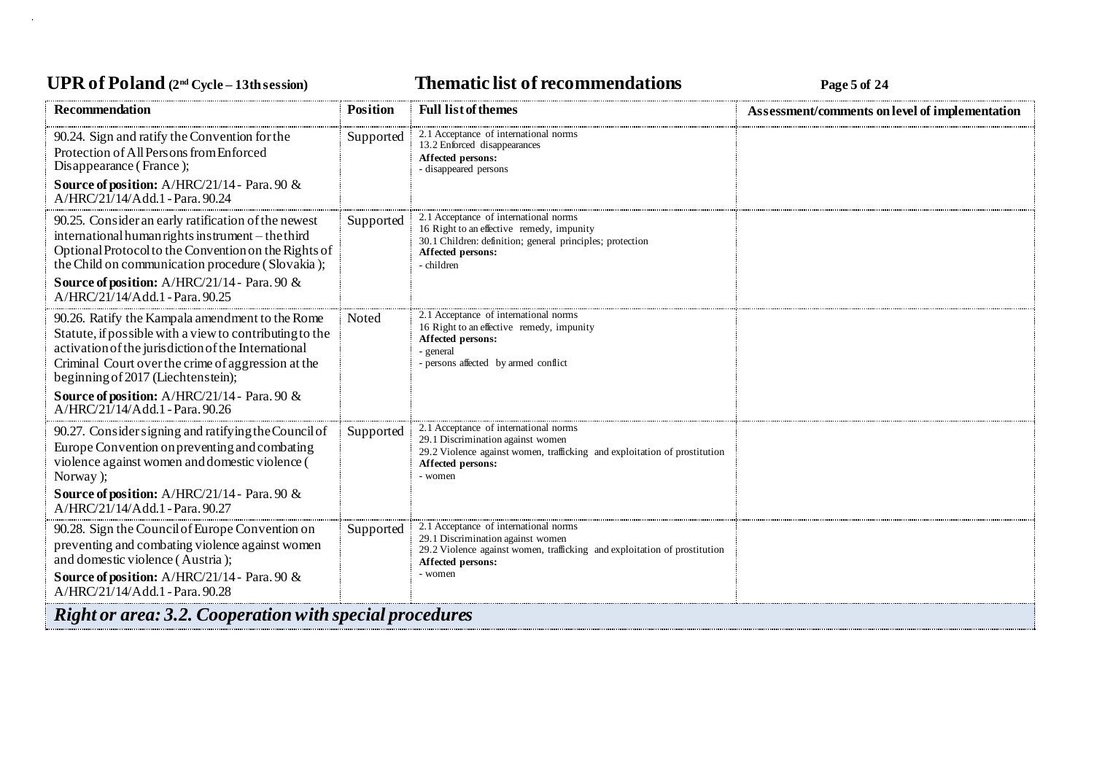### UPR of Poland  $(2^{nd}$  Cycle – 13th session) **Thematic list of recommendations Page 5** of 24

| <b>Recommendation</b>                                                                                                                                                                                                                                                                                                                                   | <b>Position</b> | <b>Full list of themes</b>                                                                                                                                                              | Assessment/comments on level of implementation |
|---------------------------------------------------------------------------------------------------------------------------------------------------------------------------------------------------------------------------------------------------------------------------------------------------------------------------------------------------------|-----------------|-----------------------------------------------------------------------------------------------------------------------------------------------------------------------------------------|------------------------------------------------|
| 90.24. Sign and ratify the Convention for the<br>Protection of All Persons from Enforced<br>Disappearance (France);<br><b>Source of position:</b> A/HRC/21/14 - Para. 90 &<br>$A/HRC/21/14/Add.1$ - Para, 90.24                                                                                                                                         | Supported       | 2.1 Acceptance of international norms<br>13.2 Enforced disappearances<br>Affected persons:<br>- disappeared persons                                                                     |                                                |
| 90.25. Consider an early ratification of the newest<br>international human rights instrument – the third<br>Optional Protocol to the Convention on the Rights of<br>the Child on communication procedure (Slovakia);<br><b>Source of position:</b> A/HRC/21/14 - Para. 90 &<br>A/HRC/21/14/Add.1 - Para, 90.25                                          | Supported       | 2.1 Acceptance of international norms<br>16 Right to an effective remedy, impunity<br>30.1 Children: definition; general principles; protection<br>Affected persons:<br>children        |                                                |
| 90.26. Ratify the Kampala amendment to the Rome<br>Statute, if possible with a view to contributing to the<br>activation of the jurisdiction of the International<br>Criminal Court over the crime of aggression at the<br>beginning of 2017 (Liechtenstein);<br><b>Source of position:</b> A/HRC/21/14 - Para. 90 &<br>A/HRC/21/14/Add.1 - Para. 90.26 | Noted           | 2.1 Acceptance of international norms<br>16 Right to an effective remedy, impunity<br>Affected persons:<br>general<br>persons affected by armed conflict                                |                                                |
| 90.27. Consider signing and ratifying the Council of<br>Europe Convention on preventing and combating<br>violence against women and domestic violence (<br>Norway);<br><b>Source of position:</b> A/HRC/21/14 - Para. 90 $\&$<br>A/HRC/21/14/Add.1 - Para. 90.27                                                                                        | Supported       | 2.1 Acceptance of international norms<br>29.1 Discrimination against women<br>29.2 Violence against women, trafficking and exploitation of prostitution<br>Affected persons:<br>- women |                                                |
| 90.28. Sign the Council of Europe Convention on<br>preventing and combating violence against women<br>and domestic violence (Austria);<br><b>Source of position:</b> A/HRC/21/14 - Para. 90 &<br>A/HRC/21/14/Add.1 - Para. 90.28                                                                                                                        | Supported       | 2.1 Acceptance of international norms<br>29.1 Discrimination against women<br>29.2 Violence against women, trafficking and exploitation of prostitution<br>Affected persons:<br>women   |                                                |
| <b>Right or area: 3.2. Cooperation with special procedures</b>                                                                                                                                                                                                                                                                                          |                 |                                                                                                                                                                                         |                                                |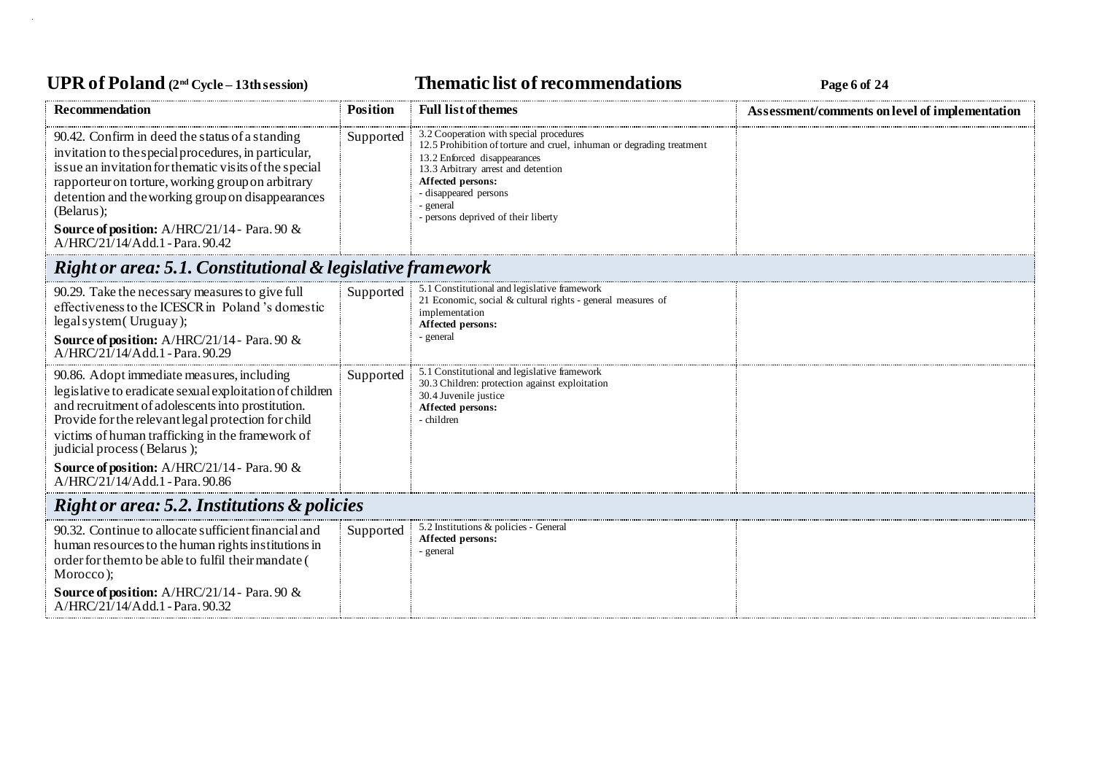# UPR of Poland  $(2^{nd}$  Cycle – 13th session) **Thematic list of recommendations Page 6** of 24

| <b>Recommendation</b>                                                                                                                                                                                                                                                                                                                                                                    | <b>Position</b> | <b>Full list of themes</b>                                                                                                                                                                                                                                                                | Assessment/comments on level of implementation |  |
|------------------------------------------------------------------------------------------------------------------------------------------------------------------------------------------------------------------------------------------------------------------------------------------------------------------------------------------------------------------------------------------|-----------------|-------------------------------------------------------------------------------------------------------------------------------------------------------------------------------------------------------------------------------------------------------------------------------------------|------------------------------------------------|--|
| 90.42. Confirm in deed the status of a standing<br>invitation to the special procedures, in particular,<br>is sue an invitation for the matic visits of the special<br>rapporteur on torture, working group on arbitrary<br>detention and the working group on disappearances<br>(Belarus);<br><b>Source of position:</b> A/HRC/21/14 - Para. 90 $\&$<br>A/HRC/21/14/Add.1 - Para. 90.42 | Supported       | 3.2 Cooperation with special procedures<br>12.5 Prohibition of torture and cruel, inhuman or degrading treatment<br>13.2 Enforced disappearances<br>13.3 Arbitrary arrest and detention<br>Affected persons:<br>- disappeared persons<br>- general<br>- persons deprived of their liberty |                                                |  |
| Right or area: 5.1. Constitutional & legislative framework                                                                                                                                                                                                                                                                                                                               |                 |                                                                                                                                                                                                                                                                                           |                                                |  |
| 90.29. Take the necessary measures to give full<br>effectiveness to the ICESCR in Poland's domestic<br>legal system (Uruguay);<br>Source of position: A/HRC/21/14 - Para. 90 &<br>A/HRC/21/14/Add.1 - Para. 90.29                                                                                                                                                                        | Supported       | 5.1 Constitutional and legislative framework<br>21 Economic, social & cultural rights - general measures of<br>implementation<br>Affected persons:<br>- general                                                                                                                           |                                                |  |
| 90.86. Adopt immediate measures, including<br>legislative to eradicate sexual exploitation of children<br>and recruitment of adolescents into prostitution.<br>Provide for the relevant legal protection for child<br>victims of human trafficking in the framework of<br>judicial process (Belarus);<br>Source of position: A/HRC/21/14 - Para. 90 &<br>A/HRC/21/14/Add.1 - Para. 90.86 | Supported       | 5.1 Constitutional and legislative framework<br>30.3 Children: protection against exploitation<br>30.4 Juvenile justice<br>Affected persons:<br>- children                                                                                                                                |                                                |  |
| <b>Right or area: 5.2. Institutions &amp; policies</b>                                                                                                                                                                                                                                                                                                                                   |                 |                                                                                                                                                                                                                                                                                           |                                                |  |
| 90.32. Continue to allocate sufficient financial and<br>human resources to the human rights institutions in<br>order for them to be able to fulfil their mandate (<br>Morocco);                                                                                                                                                                                                          | Supported       | 5.2 Institutions & policies - General<br>Affected persons:<br>- general                                                                                                                                                                                                                   |                                                |  |
| <b>Source of position:</b> A/HRC/21/14 - Para. 90 $\&$<br>A/HRC/21/14/Add.1 - Para. 90.32                                                                                                                                                                                                                                                                                                |                 |                                                                                                                                                                                                                                                                                           |                                                |  |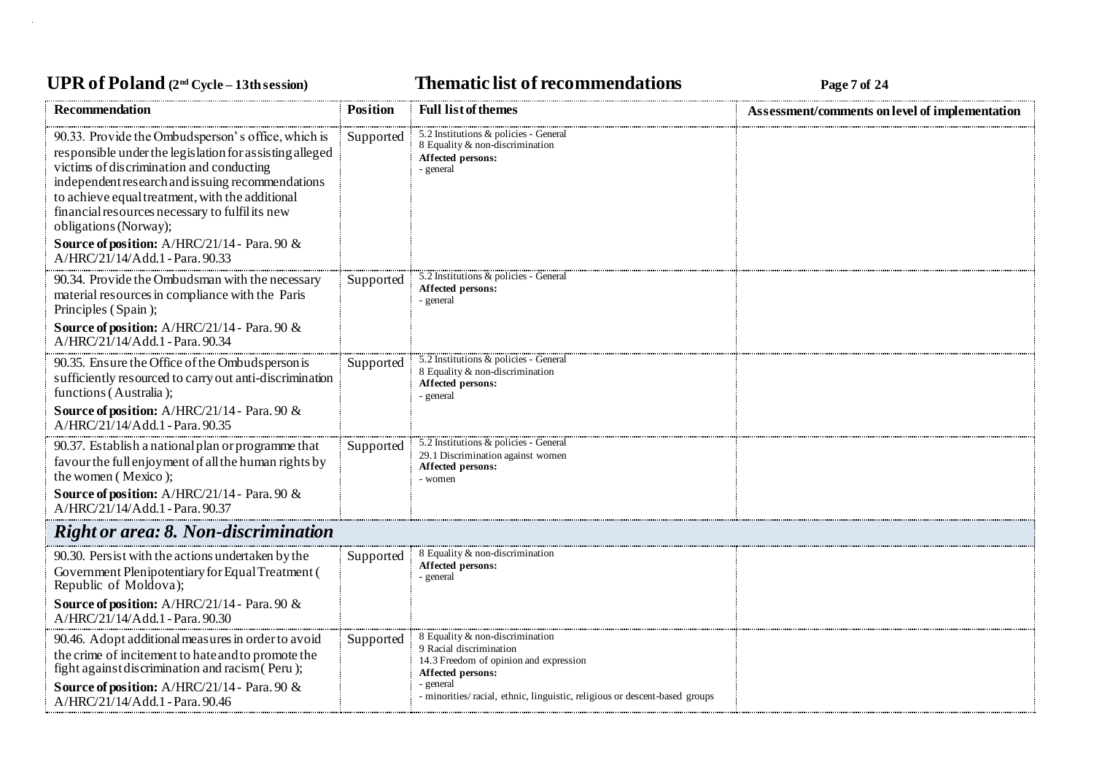### UPR of Poland  $(2^{nd}$  Cycle – 13th session) **Thematic list of recommendations Page 7** of 24

| <b>Recommendation</b>                                                                                                                                                                                                                                                                                                                                                                                                            | <b>Position</b> | <b>Full list of themes</b>                                                                                                                                                                                         | Assessment/comments on level of implementation |
|----------------------------------------------------------------------------------------------------------------------------------------------------------------------------------------------------------------------------------------------------------------------------------------------------------------------------------------------------------------------------------------------------------------------------------|-----------------|--------------------------------------------------------------------------------------------------------------------------------------------------------------------------------------------------------------------|------------------------------------------------|
| 90.33. Provide the Ombudsperson's office, which is<br>responsible under the legislation for assisting alleged<br>victims of discrimination and conducting<br>independent research and is suing recommendations<br>to achieve equal treatment, with the additional<br>financial resources necessary to fulfil its new<br>obligations (Norway);<br>Source of position: A/HRC/21/14 - Para. 90 &<br>A/HRC/21/14/Add.1 - Para. 90.33 | Supported       | 5.2 Institutions & policies - General<br>8 Equality & non-discrimination<br>Affected persons:<br>- general                                                                                                         |                                                |
| 90.34. Provide the Ombudsman with the necessary<br>material resources in compliance with the Paris<br>Principles (Spain);<br>Source of position: A/HRC/21/14 - Para. 90 &<br>A/HRC/21/14/Add.1 - Para. 90.34                                                                                                                                                                                                                     | Supported       | 5.2 Institutions & policies - General<br>Affected persons:<br>- general                                                                                                                                            |                                                |
| 90.35. Ensure the Office of the Ombuds person is<br>sufficiently resourced to carry out anti-discrimination<br>functions (Australia);<br>Source of position: A/HRC/21/14 - Para. 90 &<br>A/HRC/21/14/Add.1 - Para. 90.35                                                                                                                                                                                                         | Supported       | 5.2 Institutions & policies - General<br>8 Equality & non-discrimination<br>Affected persons:<br>- general                                                                                                         |                                                |
| 90.37. Establish a national plan or programme that<br>favour the full enjoyment of all the human rights by<br>the women (Mexico);<br>Source of position: A/HRC/21/14 - Para. 90 &<br>A/HRC/21/14/Add.1 - Para. 90.37                                                                                                                                                                                                             | Supported       | 5.2 Institutions & policies - General<br>29.1 Discrimination against women<br>Affected persons:<br>- women                                                                                                         |                                                |
| <b>Right or area: 8. Non-discrimination</b>                                                                                                                                                                                                                                                                                                                                                                                      |                 |                                                                                                                                                                                                                    |                                                |
| 90.30. Persist with the actions undertaken by the<br>Government Plenipotentiary for Equal Treatment (<br>Republic of Moldova);<br>Source of position: A/HRC/21/14 - Para. 90 &<br>A/HRC/21/14/Add.1 - Para. 90.30                                                                                                                                                                                                                | Supported       | 8 Equality & non-discrimination<br>Affected persons:<br>- general                                                                                                                                                  |                                                |
| 90.46. Adopt additional measures in order to avoid<br>the crime of incitement to hate and to promote the<br>fight against discrimination and racism (Peru);<br>Source of position: A/HRC/21/14 - Para. 90 &<br>A/HRC/21/14/Add.1 - Para. 90.46                                                                                                                                                                                   | Supported       | 8 Equality & non-discrimination<br>9 Racial discrimination<br>14.3 Freedom of opinion and expression<br>Affected persons:<br>general<br>- minorities/racial, ethnic, linguistic, religious or descent-based groups |                                                |
|                                                                                                                                                                                                                                                                                                                                                                                                                                  |                 |                                                                                                                                                                                                                    |                                                |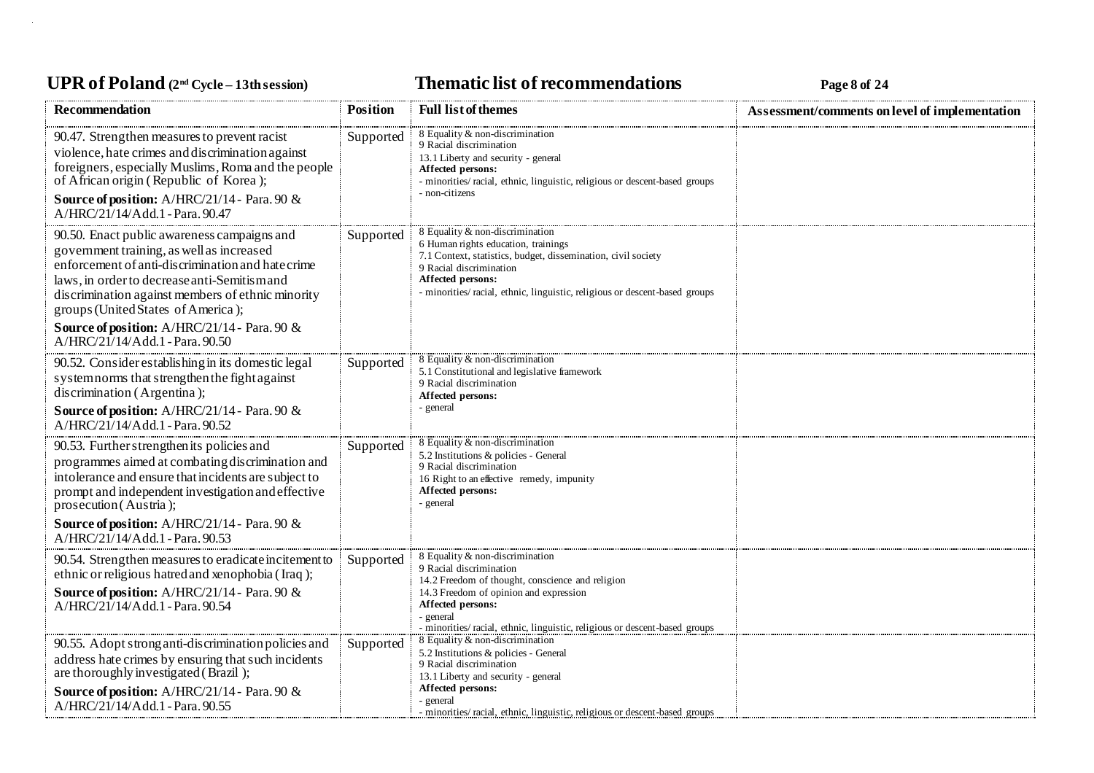# UPR of Poland  $(2^{nd}$  Cycle – 13th session) **Thematic list of recommendations Page 8** of 24

| Recommendation                                                                                                                                                                                                                                                                                                                                                                     | <b>Position</b> | <b>Full list of themes</b>                                                                                                                                                                                                                                                | Assessment/comments on level of implementation |
|------------------------------------------------------------------------------------------------------------------------------------------------------------------------------------------------------------------------------------------------------------------------------------------------------------------------------------------------------------------------------------|-----------------|---------------------------------------------------------------------------------------------------------------------------------------------------------------------------------------------------------------------------------------------------------------------------|------------------------------------------------|
| 90.47. Strengthen measures to prevent racist<br>violence, hate crimes and discrimination against<br>foreigners, especially Muslims, Roma and the people<br>of African origin (Republic of Korea);<br><b>Source of position:</b> A/HRC/21/14 - Para. 90 &<br>A/HRC/21/14/Add.1 - Para. 90.47                                                                                        | Supported       | 8 Equality & non-discrimination<br>9 Racial discrimination<br>13.1 Liberty and security - general<br>Affected persons:<br>- minorities/racial, ethnic, linguistic, religious or descent-based groups<br>- non-citizens                                                    |                                                |
| 90.50. Enact public awareness campaigns and<br>government training, as well as increased<br>enforcement of anti-discrimination and hate crime<br>laws, in order to decrease anti-Semitism and<br>discrimination against members of ethnic minority<br>groups (United States of America);<br><b>Source of position:</b> A/HRC/21/14 - Para. 90 &<br>A/HRC/21/14/Add.1 - Para. 90.50 | Supported       | 8 Equality & non-discrimination<br>6 Human rights education, trainings<br>7.1 Context, statistics, budget, dissemination, civil society<br>9 Racial discrimination<br>Affected persons:<br>- minorities/ racial, ethnic, linguistic, religious or descent-based groups    |                                                |
| 90.52. Consider establishing in its domestic legal<br>system norms that strengthen the fight against<br>discrimination (Argentina);<br><b>Source of position:</b> A/HRC/21/14 - Para. 90 &<br>A/HRC/21/14/Add.1 - Para. 90.52                                                                                                                                                      | Supported       | 8 Equality & non-discrimination<br>5.1 Constitutional and legislative framework<br>9 Racial discrimination<br>Affected persons:<br>- general                                                                                                                              |                                                |
| 90.53. Further strengthen its policies and<br>programmes aimed at combating discrimination and<br>intolerance and ensure that incidents are subject to<br>prompt and independent investigation and effective<br>prosecution (Austria);<br><b>Source of position:</b> A/HRC/21/14 - Para. 90 &<br>A/HRC/21/14/Add.1 - Para. 90.53                                                   | Supported       | 8 Equality & non-discrimination<br>5.2 Institutions & policies - General<br>9 Racial discrimination<br>16 Right to an effective remedy, impunity<br>Affected persons:<br>- general                                                                                        |                                                |
| 90.54. Strengthen measures to eradicate incitement to<br>ethnic or religious hatred and xenophobia (Iraq);<br><b>Source of position:</b> A/HRC/21/14 - Para. 90 &<br>A/HRC/21/14/Add.1 - Para. 90.54                                                                                                                                                                               | Supported       | 8 Equality & non-discrimination<br>9 Racial discrimination<br>14.2 Freedom of thought, conscience and religion<br>14.3 Freedom of opinion and expression<br>Affected persons:<br>- general<br>- minorities/ racial, ethnic, linguistic, religious or descent-based groups |                                                |
| 90.55. Adopt strong anti-discrimination policies and<br>address hate crimes by ensuring that such incidents<br>are thoroughly investigated (Brazil);<br>Source of position: A/HRC/21/14 - Para. 90 &<br>A/HRC/21/14/Add.1 - Para. 90.55                                                                                                                                            | Supported       | 8 Equality & non-discrimination<br>5.2 Institutions & policies - General<br>9 Racial discrimination<br>13.1 Liberty and security - general<br>Affected persons:<br>- general<br>- minorities/ racial, ethnic, linguistic, religious or descent-based groups               |                                                |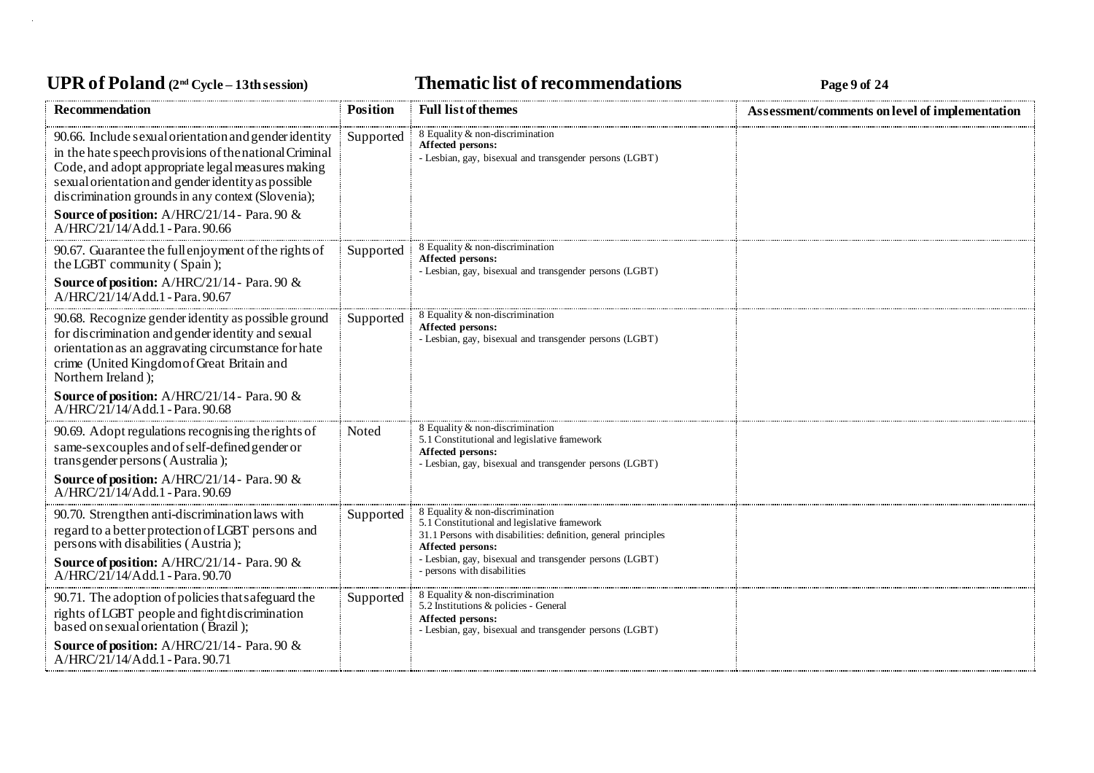# UPR of Poland  $(2^{nd}$  Cycle – 13th session) **Thematic list of recommendations Page 9** of 24

| <b>Recommendation</b>                                                                                                                                                                                                                                                                                                           | <b>Position</b> | <b>Full list of themes</b>                                                                                                                                             | Assessment/comments on level of implementation |
|---------------------------------------------------------------------------------------------------------------------------------------------------------------------------------------------------------------------------------------------------------------------------------------------------------------------------------|-----------------|------------------------------------------------------------------------------------------------------------------------------------------------------------------------|------------------------------------------------|
| 90.66. Include sexual orientation and gender identity<br>in the hate speech provisions of the national Criminal<br>Code, and adopt appropriate legal measures making<br>sexual orientation and gender identity as possible<br>discrimination grounds in any context (Slovenia);<br>Source of position: A/HRC/21/14 - Para. 90 & | Supported       | 8 Equality & non-discrimination<br><b>Affected persons:</b><br>- Lesbian, gay, bisexual and transgender persons (LGBT)                                                 |                                                |
| A/HRC/21/14/Add.1 - Para, 90.66                                                                                                                                                                                                                                                                                                 |                 | 8 Equality & non-discrimination                                                                                                                                        |                                                |
| 90.67. Guarantee the full enjoyment of the rights of<br>the LGBT community (Spain);                                                                                                                                                                                                                                             | Supported       | Affected persons:<br>- Lesbian, gay, bisexual and transgender persons (LGBT)                                                                                           |                                                |
| Source of position: A/HRC/21/14 - Para. 90 &<br>A/HRC/21/14/Add.1 - Para. 90.67                                                                                                                                                                                                                                                 |                 |                                                                                                                                                                        |                                                |
| 90.68. Recognize gender identity as possible ground<br>for discrimination and gender identity and sexual<br>orientation as an aggravating circumstance for hate<br>crime (United Kingdom of Great Britain and<br>Northern Ireland);                                                                                             | Supported       | 8 Equality & non-discrimination<br>Affected persons:<br>- Lesbian, gay, bisexual and transgender persons (LGBT)                                                        |                                                |
| <b>Source of position:</b> A/HRC/21/14 - Para. 90 &<br>A/HRC/21/14/Add.1 - Para. 90.68                                                                                                                                                                                                                                          |                 |                                                                                                                                                                        |                                                |
| 90.69. Adopt regulations recognising the rights of<br>same-sex couples and of self-defined gender or<br>transgender persons (Australia);                                                                                                                                                                                        | Noted           | 8 Equality & non-discrimination<br>5.1 Constitutional and legislative framework<br>Affected persons:<br>- Lesbian, gay, bisexual and transgender persons (LGBT)        |                                                |
| <b>Source of position:</b> A/HRC/21/14 - Para. 90 &<br>A/HRC/21/14/Add.1 - Para. 90.69                                                                                                                                                                                                                                          |                 |                                                                                                                                                                        |                                                |
| 90.70. Strengthen anti-discrimination laws with<br>regard to a better protection of LGBT persons and<br>persons with disabilities (Austria);                                                                                                                                                                                    | Supported       | 8 Equality & non-discrimination<br>5.1 Constitutional and legislative framework<br>31.1 Persons with disabilities: definition, general principles<br>Affected persons: |                                                |
| <b>Source of position:</b> A/HRC/21/14 - Para. 90 &<br>$A/HRC/21/14/Add.1$ - Para, 90.70                                                                                                                                                                                                                                        |                 | - Lesbian, gay, bisexual and transgender persons (LGBT)<br>persons with disabilities                                                                                   |                                                |
| 90.71. The adoption of policies that safeguard the                                                                                                                                                                                                                                                                              | Supported       | 8 Equality & non-discrimination<br>5.2 Institutions & policies - General                                                                                               |                                                |
| rights of LGBT people and fight discrimination<br>based on sexual orientation (Brazil);                                                                                                                                                                                                                                         |                 | Affected persons:<br>- Lesbian, gay, bisexual and transgender persons (LGBT)                                                                                           |                                                |
| <b>Source of position:</b> A/HRC/21/14 - Para. 90 &<br>A/HRC/21/14/Add.1 - Para. 90.71                                                                                                                                                                                                                                          |                 |                                                                                                                                                                        |                                                |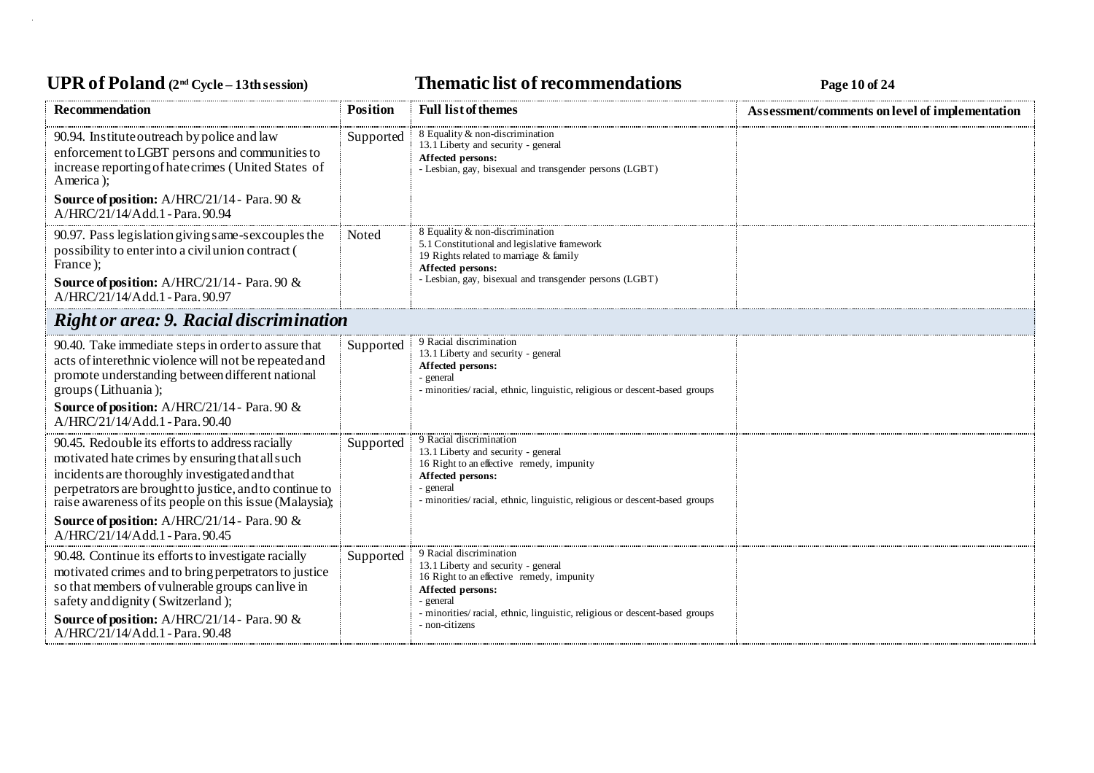# UPR of Poland  $(2^{nd}$  Cycle – 13th session) **Thematic list of recommendations Page 10** of 24

| <b>Recommendation</b>                                                                                                                                                                                                                                                                                                      | <b>Position</b> | <b>Full list of themes</b>                                                                                                                                                                                                 | Assessment/comments on level of implementation |
|----------------------------------------------------------------------------------------------------------------------------------------------------------------------------------------------------------------------------------------------------------------------------------------------------------------------------|-----------------|----------------------------------------------------------------------------------------------------------------------------------------------------------------------------------------------------------------------------|------------------------------------------------|
| 90.94. Institute outreach by police and law<br>enforcement to LGBT persons and communities to<br>increase reporting of hate crimes (United States of<br>America);                                                                                                                                                          | Supported       | 8 Equality & non-discrimination<br>13.1 Liberty and security - general<br>Affected persons:<br>- Lesbian, gay, bisexual and transgender persons (LGBT)                                                                     |                                                |
| <b>Source of position:</b> A/HRC/21/14 - Para. 90 $\&$<br>A/HRC/21/14/Add.1 - Para. 90.94                                                                                                                                                                                                                                  |                 |                                                                                                                                                                                                                            |                                                |
| 90.97. Pass legislation giving same-sex couples the<br>possibility to enter into a civil union contract (<br>France);                                                                                                                                                                                                      | Noted           | 8 Equality & non-discrimination<br>5.1 Constitutional and legislative framework<br>19 Rights related to marriage & family<br>Affected persons:                                                                             |                                                |
| <b>Source of position:</b> A/HRC/21/14 - Para. 90 $\&$<br>A/HRC/21/14/Add.1 - Para. 90.97                                                                                                                                                                                                                                  |                 | - Lesbian, gay, bisexual and transgender persons (LGBT)                                                                                                                                                                    |                                                |
| <b>Right or area: 9. Racial discrimination</b>                                                                                                                                                                                                                                                                             |                 |                                                                                                                                                                                                                            |                                                |
| 90.40. Take immediate steps in order to as sure that<br>acts of interethnic violence will not be repeated and<br>promote understanding between different national<br>groups (Lithuania);<br>Source of position: A/HRC/21/14 - Para. 90 &<br>A/HRC/21/14/Add.1 - Para. 90.40                                                | Supported       | 9 Racial discrimination<br>13.1 Liberty and security - general<br>Affected persons:<br>- general<br>- minorities/racial, ethnic, linguistic, religious or descent-based groups                                             |                                                |
| 90.45. Redouble its efforts to address racially<br>motivated hate crimes by ensuring that all such<br>incidents are thoroughly investigated and that<br>perpetrators are brought to justice, and to continue to<br>raise awareness of its people on this issue (Malaysia);<br>Source of position: A/HRC/21/14 - Para. 90 & | Supported       | 9 Racial discrimination<br>13.1 Liberty and security - general<br>16 Right to an effective remedy, impunity<br>Affected persons:<br>general<br>- minorities/ racial, ethnic, linguistic, religious or descent-based groups |                                                |
| A/HRC/21/14/Add.1 - Para. 90.45                                                                                                                                                                                                                                                                                            |                 |                                                                                                                                                                                                                            |                                                |
| 90.48. Continue its efforts to investigate racially<br>motivated crimes and to bring perpetrators to justice<br>so that members of vulnerable groups can live in<br>safety and dignity (Switzerland);                                                                                                                      | Supported       | 9 Racial discrimination<br>13.1 Liberty and security - general<br>16 Right to an effective remedy, impunity<br>Affected persons:<br>general<br>- minorities/racial, ethnic, linguistic, religious or descent-based groups  |                                                |
| Source of position: A/HRC/21/14 - Para. 90 &<br>A/HRC/21/14/Add.1 - Para, 90.48                                                                                                                                                                                                                                            |                 | - non-citizens                                                                                                                                                                                                             |                                                |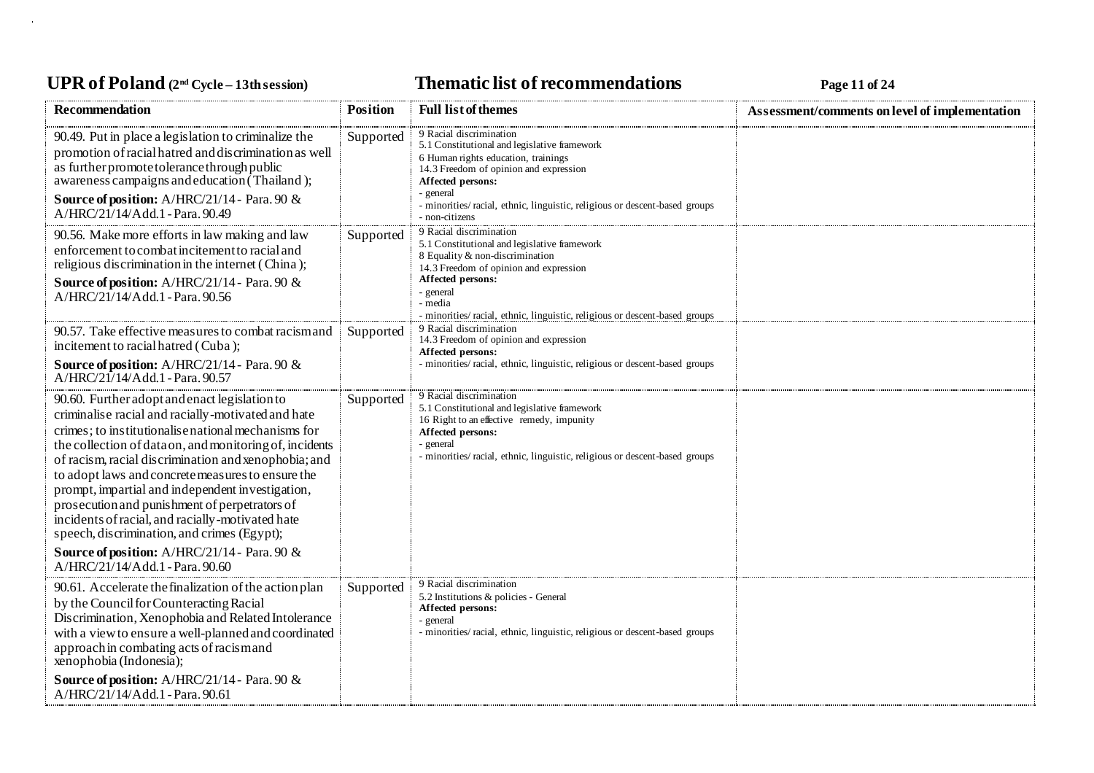# UPR of Poland  $(2^{nd}$  Cycle – 13th session) **Thematic list of recommendations Page 11 of 24**

| <b>Recommendation</b>                                                                                                                                                                                                                                                                                                                                                                                                                                                                                                                     | <b>Position</b> | <b>Full list of themes</b>                                                                                                                                                                                                                                              | Assessment/comments on level of implementation |
|-------------------------------------------------------------------------------------------------------------------------------------------------------------------------------------------------------------------------------------------------------------------------------------------------------------------------------------------------------------------------------------------------------------------------------------------------------------------------------------------------------------------------------------------|-----------------|-------------------------------------------------------------------------------------------------------------------------------------------------------------------------------------------------------------------------------------------------------------------------|------------------------------------------------|
| 90.49. Put in place a legislation to criminalize the<br>promotion of racial hatred and discrimination as well<br>as further promote to lerance through public<br>awareness campaigns and education (Thailand);<br>Source of position: A/HRC/21/14 - Para. 90 &                                                                                                                                                                                                                                                                            | Supported       | 9 Racial discrimination<br>5.1 Constitutional and legislative framework<br>6 Human rights education, trainings<br>14.3 Freedom of opinion and expression<br>Affected persons:<br>general<br>- minorities/ racial, ethnic, linguistic, religious or descent-based groups |                                                |
| A/HRC/21/14/Add.1 - Para, 90.49                                                                                                                                                                                                                                                                                                                                                                                                                                                                                                           |                 | - non-citizens                                                                                                                                                                                                                                                          |                                                |
| 90.56. Make more efforts in law making and law<br>enforcement to combat incitement to racial and<br>religious discrimination in the internet (China);                                                                                                                                                                                                                                                                                                                                                                                     | Supported       | 9 Racial discrimination<br>5.1 Constitutional and legislative framework<br>8 Equality & non-discrimination<br>14.3 Freedom of opinion and expression                                                                                                                    |                                                |
| Source of position: A/HRC/21/14 - Para. 90 &<br>A/HRC/21/14/Add.1 - Para. 90.56                                                                                                                                                                                                                                                                                                                                                                                                                                                           |                 | Affected persons:<br>- general<br>- media<br>minorities/racial, ethnic, linguistic, religious or descent-based groups                                                                                                                                                   |                                                |
| 90.57. Take effective measures to combat racismand<br>incitement to racial hatred (Cuba);                                                                                                                                                                                                                                                                                                                                                                                                                                                 | Supported       | 9 Racial discrimination<br>14.3 Freedom of opinion and expression<br>Affected persons:                                                                                                                                                                                  |                                                |
| <b>Source of position:</b> A/HRC/21/14 - Para. 90 &<br>A/HRC/21/14/Add.1 - Para. 90.57                                                                                                                                                                                                                                                                                                                                                                                                                                                    |                 | minorities/ racial, ethnic, linguistic, religious or descent-based groups                                                                                                                                                                                               |                                                |
| 90.60. Further adopt and enact legislation to<br>criminalise racial and racially-motivated and hate<br>crimes; to institutionalise national mechanisms for<br>the collection of dataon, and monitoring of, incidents<br>of racism, racial discrimination and xenophobia; and<br>to adopt laws and concrete measures to ensure the<br>prompt, impartial and independent investigation,<br>prosecution and punishment of perpetrators of<br>incidents of racial, and racially-motivated hate<br>speech, discrimination, and crimes (Egypt); | Supported       | 9 Racial discrimination<br>5.1 Constitutional and legislative framework<br>16 Right to an effective remedy, impunity<br>Affected persons:<br>general<br>minorities/racial, ethnic, linguistic, religious or descent-based groups                                        |                                                |
| Source of position: A/HRC/21/14 - Para. 90 &<br>A/HRC/21/14/Add.1 - Para. 90.60                                                                                                                                                                                                                                                                                                                                                                                                                                                           |                 |                                                                                                                                                                                                                                                                         |                                                |
| 90.61. Accelerate the finalization of the action plan<br>by the Council for Counteracting Racial<br>Discrimination, Xenophobia and Related Intolerance<br>with a view to ensure a well-planned and coordinated<br>approach in combating acts of racismand<br>xenophobia (Indonesia);                                                                                                                                                                                                                                                      | Supported       | 9 Racial discrimination<br>5.2 Institutions & policies - General<br>Affected persons:<br>- general<br>- minorities/racial, ethnic, linguistic, religious or descent-based groups                                                                                        |                                                |
| Source of position: A/HRC/21/14 - Para. 90 &<br>A/HRC/21/14/Add.1 - Para. 90.61                                                                                                                                                                                                                                                                                                                                                                                                                                                           |                 |                                                                                                                                                                                                                                                                         |                                                |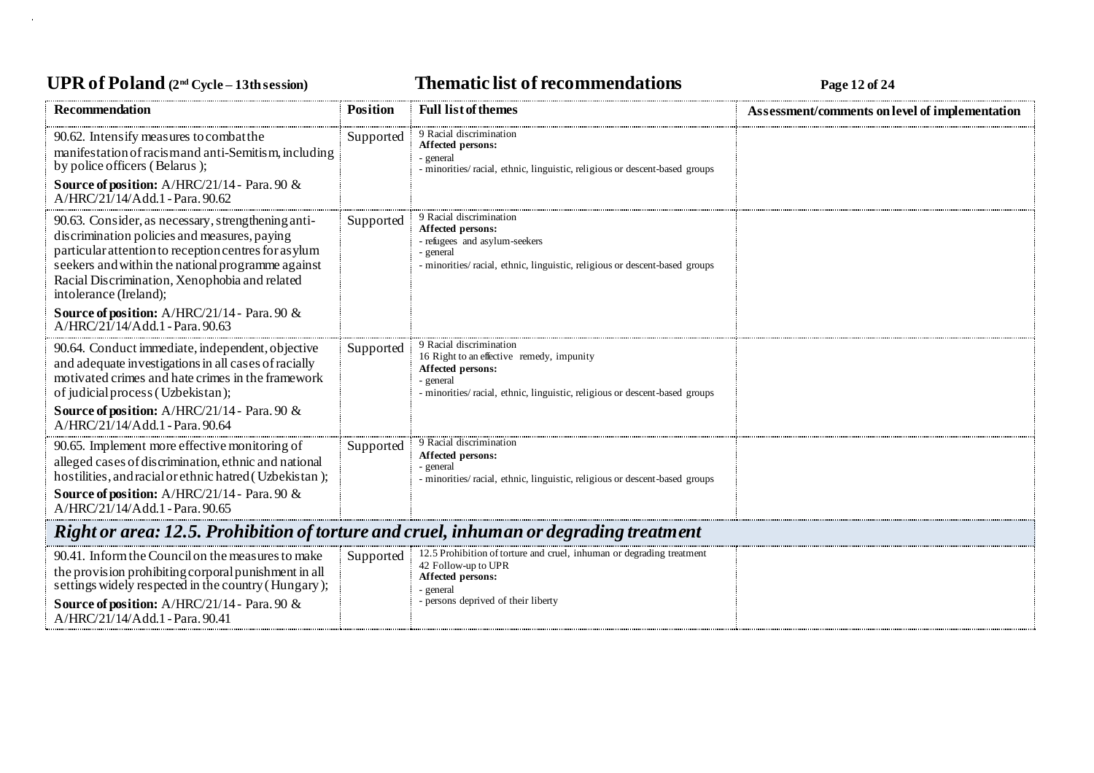# UPR of Poland  $(2^{nd}$  Cycle – 13th session) **Thematic list of recommendations Page 12** of 24

| <b>Recommendation</b>                                                                                                                                                                                                                                                                       | <b>Position</b> | <b>Full list of themes</b>                                                                                                                                                         | Assessment/comments on level of implementation |  |
|---------------------------------------------------------------------------------------------------------------------------------------------------------------------------------------------------------------------------------------------------------------------------------------------|-----------------|------------------------------------------------------------------------------------------------------------------------------------------------------------------------------------|------------------------------------------------|--|
| 90.62. Intensify measures to combat the<br>manifestation of racism and anti-Semitism, including<br>by police officers (Belarus);<br>Source of position: A/HRC/21/14 - Para. 90 &<br>$A/HRC/21/14/Add.1$ - Para, 90.62                                                                       | Supported       | 9 Racial discrimination<br>Affected persons:<br>- general<br>- minorities/ racial, ethnic, linguistic, religious or descent-based groups                                           |                                                |  |
| 90.63. Consider, as necessary, strengthening anti-<br>discrimination policies and measures, paying<br>particular attention to reception centres for as ylum<br>seekers and within the national programme against<br>Racial Discrimination, Xenophobia and related<br>intolerance (Ireland); | Supported       | 9 Racial discrimination<br>Affected persons:<br>- refugees and asylum-seekers<br>- general<br>- minorities/racial, ethnic, linguistic, religious or descent-based groups           |                                                |  |
| Source of position: A/HRC/21/14 - Para. 90 &<br>$A/HRC/21/14/Add 1-Para 9063$                                                                                                                                                                                                               |                 |                                                                                                                                                                                    |                                                |  |
| 90.64. Conduct immediate, independent, objective<br>and adequate investigations in all cases of racially<br>motivated crimes and hate crimes in the framework<br>of judicial process (Uzbekistan);<br>Source of position: A/HRC/21/14 - Para. 90 &<br>A/HRC/21/14/Add.1 - Para. 90.64       | Supported       | 9 Racial discrimination<br>16 Right to an effective remedy, impunity<br>Affected persons:<br>general<br>- minorities/racial, ethnic, linguistic, religious or descent-based groups |                                                |  |
| 90.65. Implement more effective monitoring of<br>alleged cases of discrimination, ethnic and national<br>hostilities, and racial or ethnic hatred (Uzbekistan);<br>Source of position: A/HRC/21/14 - Para. 90 &<br>A/HRC/21/14/Add.1 - Para. 90.65                                          | Supported       | 9 Racial discrimination<br>Affected persons:<br>general<br>- minorities/racial, ethnic, linguistic, religious or descent-based groups                                              |                                                |  |
| Right or area: 12.5. Prohibition of torture and cruel, inhuman or degrading treatment                                                                                                                                                                                                       |                 |                                                                                                                                                                                    |                                                |  |
| 90.41. Inform the Council on the measures to make<br>the provision prohibiting corporal punishment in all<br>settings widely respected in the country (Hungary);<br>Source of position: A/HRC/21/14 - Para. 90 &<br>A/HRC/21/14/Add.1 - Para. 90.41                                         | Supported       | 12.5 Prohibition of torture and cruel, inhuman or degrading treatment<br>42 Follow-up to UPR<br>Affected persons:<br>general<br>- persons deprived of their liberty                |                                                |  |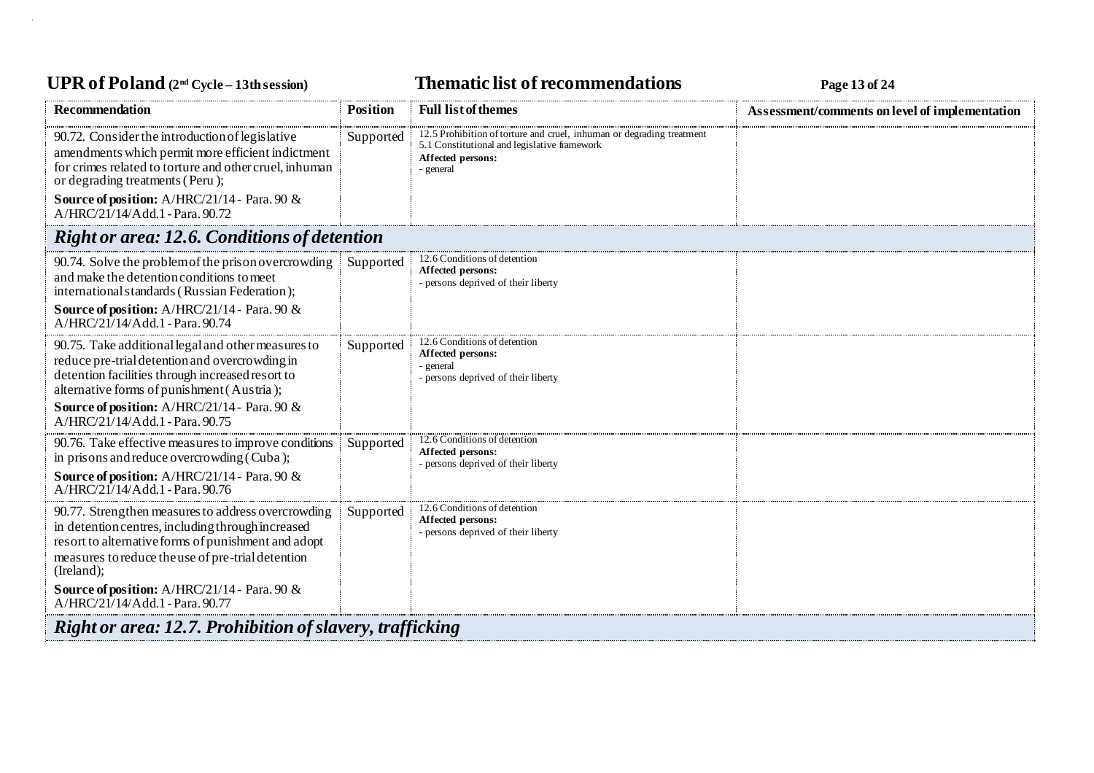### UPR of Poland  $(2^{nd}$  Cycle – 13th session) **Thematic list of recommendations Page 13** of 24

| <b>Recommendation</b>                                                                                                                                                                                                                                                                                                | <b>Position</b> | <b>Full list of themes</b>                                                                                                                              | Assessment/comments on level of implementation |  |
|----------------------------------------------------------------------------------------------------------------------------------------------------------------------------------------------------------------------------------------------------------------------------------------------------------------------|-----------------|---------------------------------------------------------------------------------------------------------------------------------------------------------|------------------------------------------------|--|
| 90.72. Consider the introduction of legislative<br>amendments which permit more efficient indictment<br>for crimes related to torture and other cruel, inhuman<br>or degrading treatments (Peru);<br>Source of position: A/HRC/21/14 - Para. 90 &<br>A/HRC/21/14/Add.1 - Para. 90.72                                 | Supported       | 12.5 Prohibition of torture and cruel, inhuman or degrading treatment<br>5.1 Constitutional and legislative framework<br>Affected persons:<br>- general |                                                |  |
| <b>Right or area: 12.6. Conditions of detention</b>                                                                                                                                                                                                                                                                  |                 |                                                                                                                                                         |                                                |  |
| 90.74. Solve the problem of the prison overcrowding<br>and make the detention conditions to meet<br>international standards (Russian Federation);<br><b>Source of position:</b> A/HRC/21/14 - Para. 90 $\&$<br>A/HRC/21/14/Add.1 - Para. 90.74                                                                       | Supported       | 12.6 Conditions of detention<br>Affected persons:<br>- persons deprived of their liberty                                                                |                                                |  |
| 90.75. Take additional legal and other measures to<br>reduce pre-trial detention and overcrowding in<br>detention facilities through increased resort to<br>alternative forms of punishment (Austria);<br>Source of position: A/HRC/21/14 - Para. 90 &<br>A/HRC/21/14/Add.1 - Para. 90.75                            | Supported       | 12.6 Conditions of detention<br>Affected persons:<br>- general<br>- persons deprived of their liberty                                                   |                                                |  |
| 90.76. Take effective measures to improve conditions<br>in prisons and reduce overcrowding (Cuba);<br><b>Source of position:</b> A/HRC/21/14 - Para. 90 $\&$<br>$A/HRC/21/14/Add.1$ - Para, 90.76                                                                                                                    | Supported       | 12.6 Conditions of detention<br>Affected persons:<br>- persons deprived of their liberty                                                                |                                                |  |
| 90.77. Strengthen measures to address overcrowding<br>in detention centres, including through increased<br>resort to alternative forms of punishment and adopt<br>measures to reduce the use of pre-trial detention<br>(Ireland);<br>Source of position: A/HRC/21/14 - Para. 90 &<br>A/HRC/21/14/Add.1 - Para. 90.77 | Supported       | 12.6 Conditions of detention<br>Affected persons:<br>- persons deprived of their liberty                                                                |                                                |  |
| <b>Right or area: 12.7. Prohibition of slavery, trafficking</b>                                                                                                                                                                                                                                                      |                 |                                                                                                                                                         |                                                |  |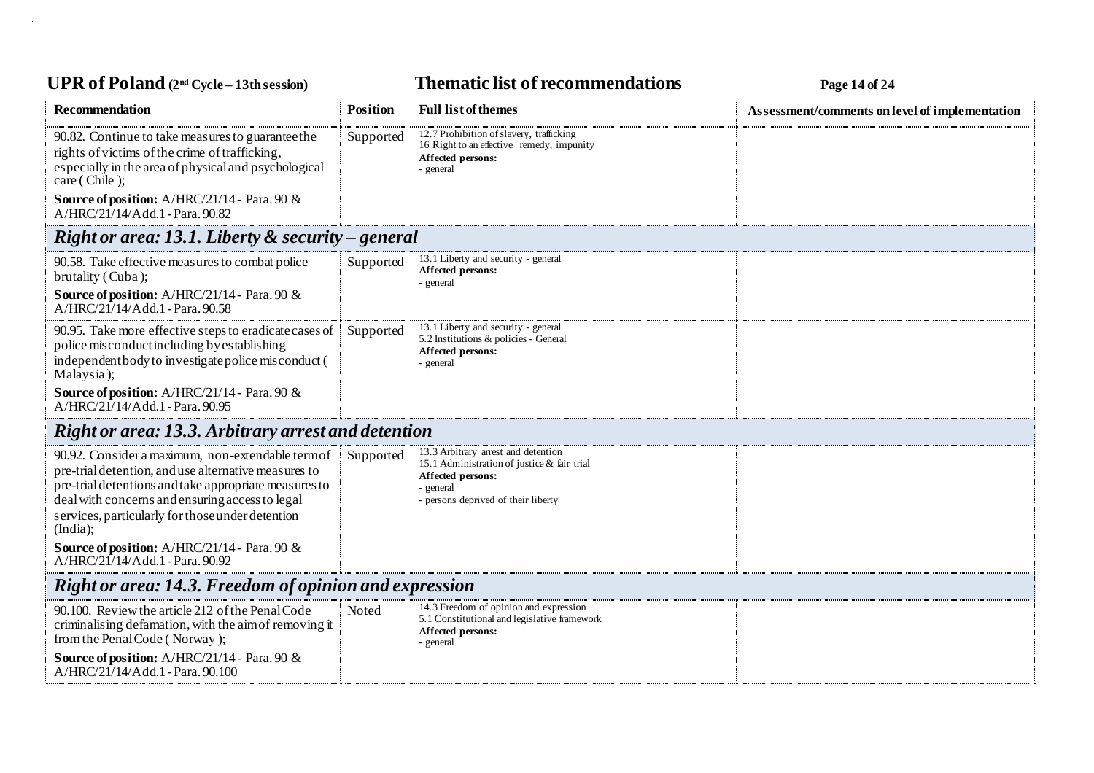# UPR of Poland  $(2^{nd}$  Cycle – 13th session) **Thematic list of recommendations Page 14** of 24

| <b>Recommendation</b>                                                                                                                                                                                                                                                                 | <b>Position</b> | <b>Full list of themes</b>                                                                                                                                  | Assessment/comments on level of implementation |  |
|---------------------------------------------------------------------------------------------------------------------------------------------------------------------------------------------------------------------------------------------------------------------------------------|-----------------|-------------------------------------------------------------------------------------------------------------------------------------------------------------|------------------------------------------------|--|
| 90.82. Continue to take measures to guarantee the<br>rights of victims of the crime of trafficking,<br>especially in the area of physical and psychological<br>care (Chile);                                                                                                          | Supported       | 12.7 Prohibition of slavery, trafficking<br>16 Right to an effective remedy, impunity<br>Affected persons:<br>- general                                     |                                                |  |
| <b>Source of position:</b> A/HRC/21/14 - Para. 90 &<br>A/HRC/21/14/Add.1 - Para. 90.82                                                                                                                                                                                                |                 |                                                                                                                                                             |                                                |  |
| Right or area: 13.1. Liberty $\&$ security – general                                                                                                                                                                                                                                  |                 |                                                                                                                                                             |                                                |  |
| 90.58. Take effective measures to combat police<br>brutality (Cuba);<br><b>Source of position:</b> A/HRC/21/14 - Para. 90 &                                                                                                                                                           | Supported       | 13.1 Liberty and security - general<br>Affected persons:<br>- general                                                                                       |                                                |  |
| A/HRC/21/14/Add.1 - Para, 90.58                                                                                                                                                                                                                                                       |                 |                                                                                                                                                             |                                                |  |
| 90.95. Take more effective steps to eradicate cases of<br>police misconduct including by establishing<br>independent body to investigate police misconduct (<br>Malaysia);                                                                                                            | Supported       | 13.1 Liberty and security - general<br>5.2 Institutions & policies - General<br>Affected persons:<br>- general                                              |                                                |  |
| Source of position: A/HRC/21/14 - Para. 90 &<br>A/HRC/21/14/Add.1 - Para. 90.95                                                                                                                                                                                                       |                 |                                                                                                                                                             |                                                |  |
| <b>Right or area: 13.3. Arbitrary arrest and detention</b>                                                                                                                                                                                                                            |                 |                                                                                                                                                             |                                                |  |
| 90.92. Consider a maximum, non-extendable term of<br>pre-trial detention, and use alternative measures to<br>pre-trial detentions and take appropriate measures to<br>deal with concerns and ensuring access to legal<br>services, particularly for those under detention<br>(India); | Supported       | 13.3 Arbitrary arrest and detention<br>15.1 Administration of justice & fair trial<br>Affected persons:<br>- general<br>- persons deprived of their liberty |                                                |  |
| <b>Source of position:</b> A/HRC/21/14 - Para. 90 $\&$<br>$A/HRC/21/14/Add.1$ - Para, 90.92                                                                                                                                                                                           |                 |                                                                                                                                                             |                                                |  |
| Right or area: 14.3. Freedom of opinion and expression                                                                                                                                                                                                                                |                 |                                                                                                                                                             |                                                |  |
| 90.100. Review the article 212 of the Penal Code<br>criminalising defamation, with the aim of removing it<br>from the Penal Code (Norway);<br><b>Source of position:</b> A/HRC/21/14 - Para. 90 $\&$<br>A/HRC/21/14/Add.1 - Para. 90.100                                              | Noted           | 14.3 Freedom of opinion and expression<br>5.1 Constitutional and legislative framework<br>Affected persons:<br>- general                                    |                                                |  |
|                                                                                                                                                                                                                                                                                       |                 |                                                                                                                                                             |                                                |  |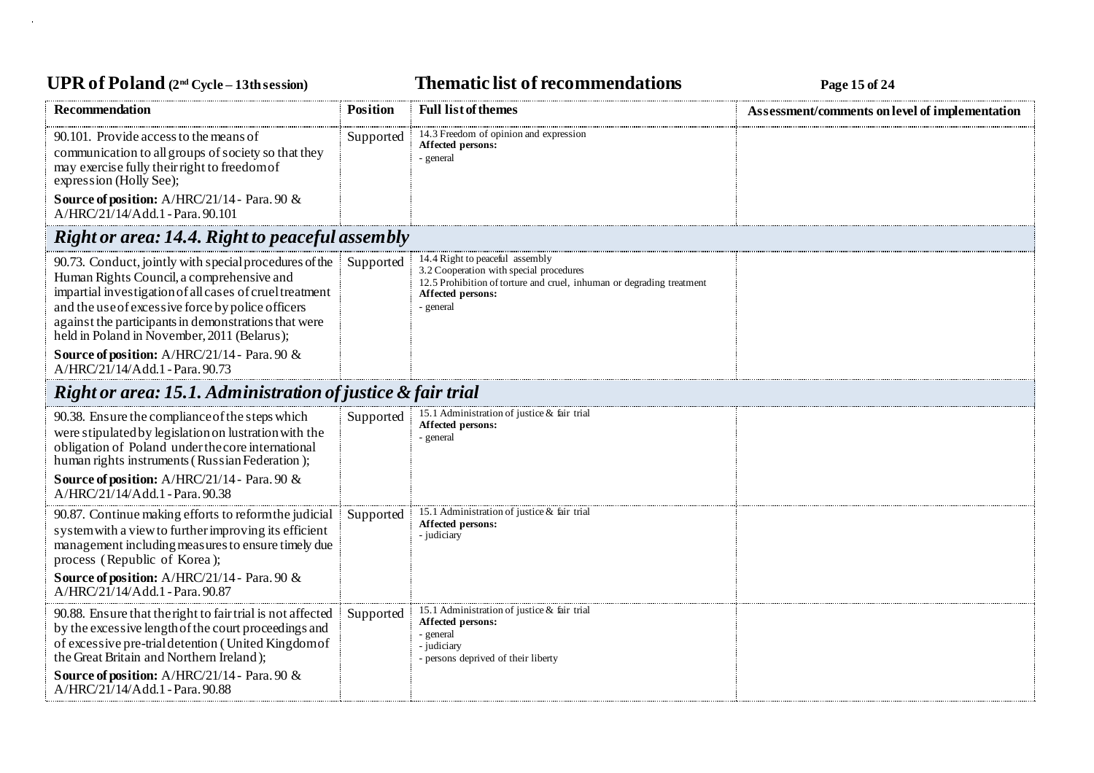# UPR of Poland  $(2^{nd}$  Cycle – 13th session) **Thematic list of recommendations Page 15** of 24

| <b>Recommendation</b>                                                                                                                                                                                                                                                                                                                                                      | <b>Position</b> | <b>Full list of themes</b>                                                                                                                                                          | Assessment/comments on level of implementation |
|----------------------------------------------------------------------------------------------------------------------------------------------------------------------------------------------------------------------------------------------------------------------------------------------------------------------------------------------------------------------------|-----------------|-------------------------------------------------------------------------------------------------------------------------------------------------------------------------------------|------------------------------------------------|
| 90.101. Provide access to the means of<br>communication to all groups of society so that they<br>may exercise fully their right to freedom of<br>expression (Holly See);                                                                                                                                                                                                   | Supported       | 14.3 Freedom of opinion and expression<br>Affected persons:<br>- general                                                                                                            |                                                |
| <b>Source of position:</b> A/HRC/21/14 - Para. 90 $\&$<br>A/HRC/21/14/Add.1 - Para, 90.101                                                                                                                                                                                                                                                                                 |                 |                                                                                                                                                                                     |                                                |
| <b>Right or area: 14.4. Right to peaceful assembly</b>                                                                                                                                                                                                                                                                                                                     |                 |                                                                                                                                                                                     |                                                |
| 90.73. Conduct, jointly with special procedures of the<br>Human Rights Council, a comprehensive and<br>impartial investigation of all cases of cruel treatment<br>and the use of excessive force by police officers<br>against the participants in demonstrations that were<br>held in Poland in November, 2011 (Belarus);<br>Source of position: A/HRC/21/14 - Para. 90 & | Supported       | 14.4 Right to peaceful assembly<br>3.2 Cooperation with special procedures<br>12.5 Prohibition of torture and cruel, inhuman or degrading treatment<br>Affected persons:<br>general |                                                |
| A/HRC/21/14/Add.1 - Para. 90.73                                                                                                                                                                                                                                                                                                                                            |                 |                                                                                                                                                                                     |                                                |
| Right or area: 15.1. Administration of justice & fair trial                                                                                                                                                                                                                                                                                                                |                 |                                                                                                                                                                                     |                                                |
| 90.38. Ensure the compliance of the steps which<br>were stipulated by legislation on lustration with the<br>obligation of Poland under the core international<br>human rights instruments (Russian Federation);                                                                                                                                                            | Supported       | 15.1 Administration of justice & fair trial<br>Affected persons:<br>- general                                                                                                       |                                                |
| <b>Source of position:</b> A/HRC/21/14 - Para. 90 &<br>A/HRC/21/14/Add.1 - Para. 90.38                                                                                                                                                                                                                                                                                     |                 |                                                                                                                                                                                     |                                                |
| 90.87. Continue making efforts to reform the judicial<br>system with a view to further improving its efficient<br>management including measures to ensure timely due<br>process (Republic of Korea);                                                                                                                                                                       | Supported       | 15.1 Administration of justice & fair trial<br>Affected persons:<br>- judiciary                                                                                                     |                                                |
| <b>Source of position:</b> A/HRC/21/14 - Para. 90 &<br>A/HRC/21/14/Add.1 - Para. 90.87                                                                                                                                                                                                                                                                                     |                 |                                                                                                                                                                                     |                                                |
| 90.88. Ensure that the right to fair trial is not affected<br>by the excessive length of the court proceedings and<br>of excessive pre-trial detention (United Kingdomof<br>the Great Britain and Northern Ireland);                                                                                                                                                       | Supported       | 15.1 Administration of justice & fair trial<br>Affected persons:<br>- general<br>- judiciary<br>- persons deprived of their liberty                                                 |                                                |
| <b>Source of position:</b> A/HRC/21/14 - Para. 90 &<br>A/HRC/21/14/Add.1 - Para. 90.88                                                                                                                                                                                                                                                                                     |                 |                                                                                                                                                                                     |                                                |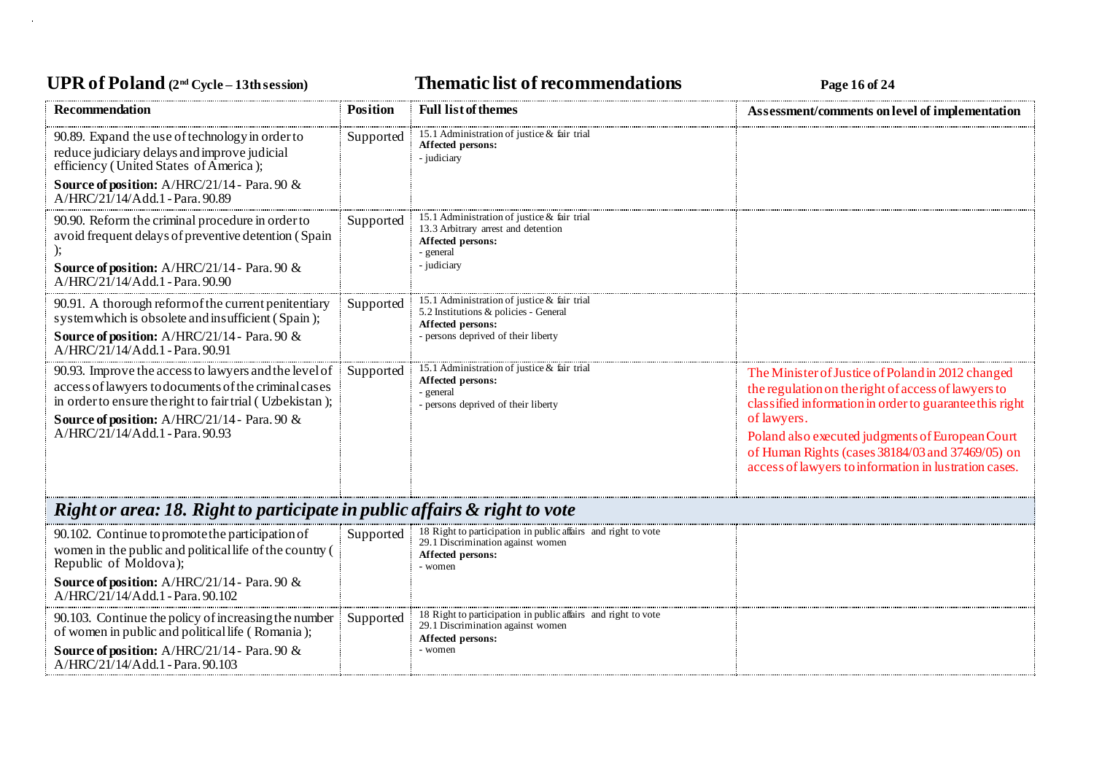# UPR of Poland  $(2^{nd}$  Cycle – 13th session) **Thematic list of recommendations Page 16** of 24

| <b>Recommendation</b>                                                                                                                                                                                                                                        | <b>Position</b> | <b>Full list of themes</b>                                                                                                                     | Assessment/comments on level of implementation                                                                                                                                                                                                                                                                                                      |
|--------------------------------------------------------------------------------------------------------------------------------------------------------------------------------------------------------------------------------------------------------------|-----------------|------------------------------------------------------------------------------------------------------------------------------------------------|-----------------------------------------------------------------------------------------------------------------------------------------------------------------------------------------------------------------------------------------------------------------------------------------------------------------------------------------------------|
| 90.89. Expand the use of technology in order to<br>reduce judiciary delays and improve judicial<br>efficiency (United States of America);<br><b>Source of position:</b> A/HRC/21/14 - Para. 90 &<br>A/HRC/21/14/Add.1 - Para. 90.89                          | Supported       | 15.1 Administration of justice & fair trial<br>Affected persons:<br>- judiciary                                                                |                                                                                                                                                                                                                                                                                                                                                     |
| 90.90. Reform the criminal procedure in order to<br>avoid frequent delays of preventive detention (Spain<br><b>Source of position:</b> A/HRC/21/14 - Para. 90 &<br>A/HRC/21/14/Add.1 - Para. 90.90                                                           | Supported       | 15.1 Administration of justice & fair trial<br>13.3 Arbitrary arrest and detention<br>Affected persons:<br>- general<br>- judiciary            |                                                                                                                                                                                                                                                                                                                                                     |
| 90.91. A thorough reform of the current penitentiary<br>system which is obsolete and insufficient (Spain);<br><b>Source of position:</b> A/HRC/21/14 - Para. 90 &<br>A/HRC/21/14/Add.1 - Para. 90.91                                                         | Supported       | 15.1 Administration of justice & fair trial<br>5.2 Institutions & policies - General<br>Affected persons:<br>persons deprived of their liberty |                                                                                                                                                                                                                                                                                                                                                     |
| 90.93. Improve the access to lawyers and the level of<br>access of lawyers to documents of the criminal cases<br>in order to ensure the right to fair trial (Uzbekistan);<br>Source of position: A/HRC/21/14 - Para. 90 &<br>A/HRC/21/14/Add.1 - Para. 90.93 | Supported       | 15.1 Administration of justice & fair trial<br>Affected persons:<br>general<br>persons deprived of their liberty                               | The Minister of Justice of Poland in 2012 changed<br>the regulation on the right of access of lawyers to<br>classified information in order to guarantee this right<br>of lawyers.<br>Poland also executed judgments of European Court<br>of Human Rights (cases 38184/03 and 37469/05) on<br>access of lawyers to information in lustration cases. |
| Right or area: 18. Right to participate in public affairs & right to vote                                                                                                                                                                                    |                 |                                                                                                                                                |                                                                                                                                                                                                                                                                                                                                                     |
| 90.102. Continue to promote the participation of<br>women in the public and political life of the country (<br>Republic of Moldova);<br><b>Source of position:</b> A/HRC/21/14 - Para. 90 &<br>A/HRC/21/14/Add.1 - Para. 90.102                              | Supported       | 18 Right to participation in public affairs and right to vote<br>29.1 Discrimination against women<br>Affected persons:<br>- women             |                                                                                                                                                                                                                                                                                                                                                     |
| 90.103. Continue the policy of increasing the number<br>of women in public and political life (Romania);<br>Source of position: A/HRC/21/14 - Para. 90 &<br>A/HRC/21/14/Add.1 - Para. 90.103                                                                 | Supported       | 18 Right to participation in public affairs and right to vote<br>29.1 Discrimination against women<br>Affected persons:<br>- women             |                                                                                                                                                                                                                                                                                                                                                     |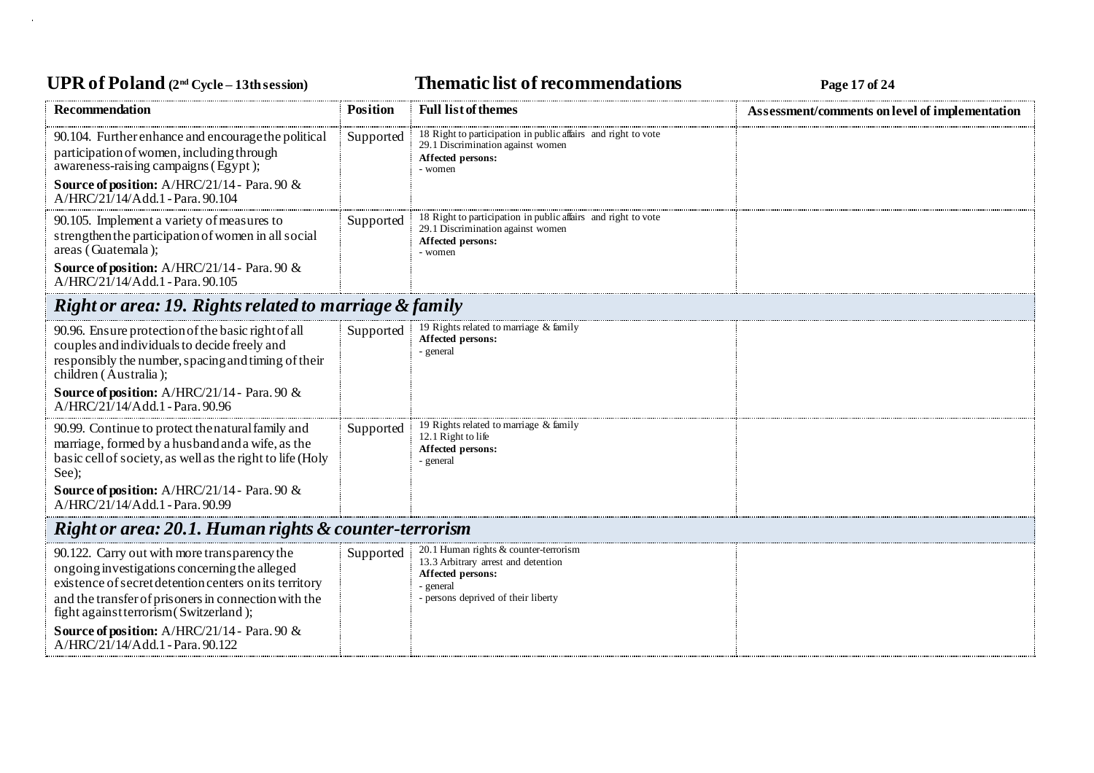### UPR of Poland  $(2^{nd}$  Cycle – 13th session) **Thematic list of recommendations Page 17** of 24

| <b>Recommendation</b>                                                                                                                                                                                                                                                                                     | <b>Position</b> | <b>Full list of themes</b>                                                                                                                          | Assessment/comments on level of implementation |
|-----------------------------------------------------------------------------------------------------------------------------------------------------------------------------------------------------------------------------------------------------------------------------------------------------------|-----------------|-----------------------------------------------------------------------------------------------------------------------------------------------------|------------------------------------------------|
| 90.104. Further enhance and encourage the political<br>participation of women, including through<br>awareness-raising campaigns (Egypt);                                                                                                                                                                  | Supported       | 18 Right to participation in public affairs and right to vote<br>29.1 Discrimination against women<br>Affected persons:<br>- women                  |                                                |
| <b>Source of position:</b> A/HRC/21/14 - Para. 90 &<br>A/HRC/21/14/Add.1 - Para. 90.104                                                                                                                                                                                                                   |                 |                                                                                                                                                     |                                                |
| 90.105. Implement a variety of measures to<br>strengthen the participation of women in all social<br>areas (Guatemala);                                                                                                                                                                                   | Supported       | 18 Right to participation in public affairs and right to vote<br>29.1 Discrimination against women<br>Affected persons:<br>- women                  |                                                |
| <b>Source of position:</b> A/HRC/21/14 - Para. 90 &<br>A/HRC/21/14/Add.1 - Para. 90.105                                                                                                                                                                                                                   |                 |                                                                                                                                                     |                                                |
| Right or area: 19. Rights related to marriage & family                                                                                                                                                                                                                                                    |                 |                                                                                                                                                     |                                                |
| 90.96. Ensure protection of the basic right of all<br>couples and individuals to decide freely and<br>responsibly the number, spacing and timing of their<br>children (Australia);                                                                                                                        | Supported       | 19 Rights related to marriage & family<br>Affected persons:<br>- general                                                                            |                                                |
| <b>Source of position:</b> A/HRC/21/14 - Para. 90 &<br>$A/HRC/21/14/Add.1$ - Para. 90.96                                                                                                                                                                                                                  |                 |                                                                                                                                                     |                                                |
| 90.99. Continue to protect the natural family and<br>marriage, formed by a husband and a wife, as the<br>basic cell of society, as well as the right to life (Holy<br>See);                                                                                                                               | Supported       | 19 Rights related to marriage & family<br>12.1 Right to life<br>Affected persons:<br>general                                                        |                                                |
| <b>Source of position:</b> A/HRC/21/14 - Para. 90 $\&$<br>A/HRC/21/14/Add.1 - Para. 90.99                                                                                                                                                                                                                 |                 |                                                                                                                                                     |                                                |
| Right or area: 20.1. Human rights & counter-terrorism                                                                                                                                                                                                                                                     |                 |                                                                                                                                                     |                                                |
| 90.122. Carry out with more transparency the<br>ongoing investigations concerning the alleged<br>existence of secret detention centers on its territory<br>and the transfer of prisoners in connection with the<br>fight against terrorism (Switzerland);<br>Source of position: A/HRC/21/14 - Para. 90 & | Supported       | 20.1 Human rights & counter-terrorism<br>13.3 Arbitrary arrest and detention<br>Affected persons:<br>general<br>- persons deprived of their liberty |                                                |
| A/HRC/21/14/Add.1 - Para. 90.122                                                                                                                                                                                                                                                                          |                 |                                                                                                                                                     |                                                |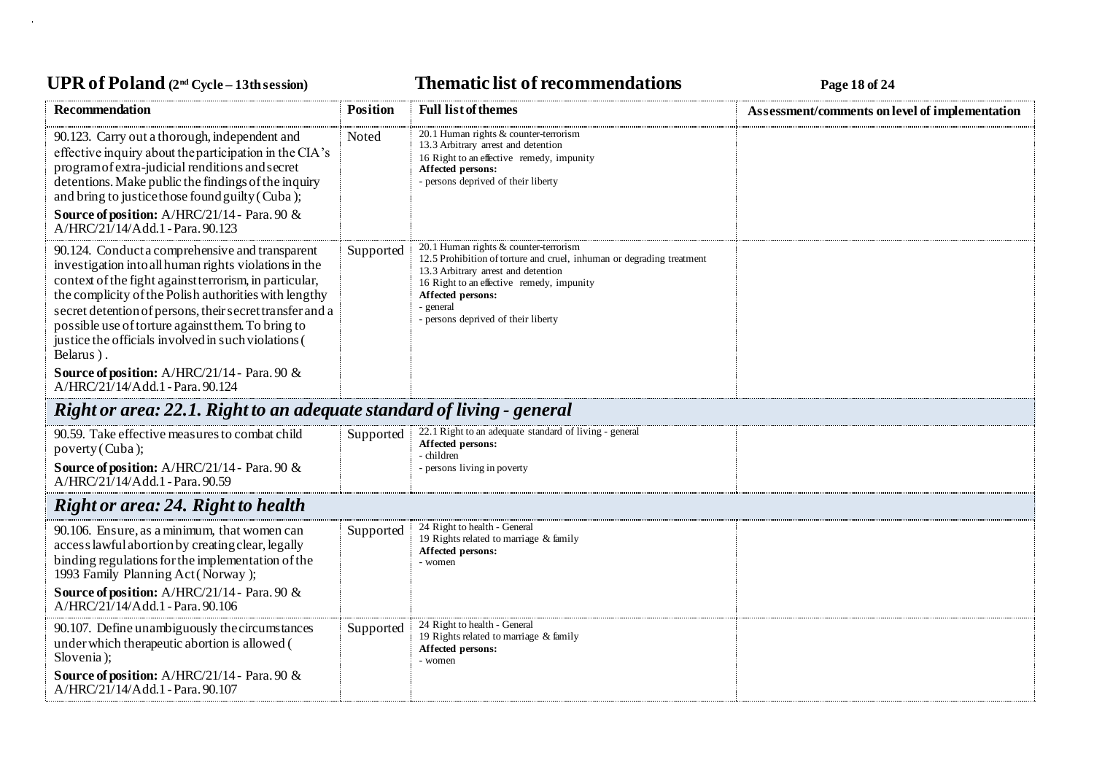# **UPR of Poland (2nd Cycle – 13th session) Thematic list of recommendations Page 18 of 24**

| <b>Recommendation</b>                                                                                                                                                                                                                                                                                                                                                                                            | <b>Position</b> | <b>Full list of themes</b>                                                                                                                                                                                                                                                | Assessment/comments on level of implementation |
|------------------------------------------------------------------------------------------------------------------------------------------------------------------------------------------------------------------------------------------------------------------------------------------------------------------------------------------------------------------------------------------------------------------|-----------------|---------------------------------------------------------------------------------------------------------------------------------------------------------------------------------------------------------------------------------------------------------------------------|------------------------------------------------|
| 90.123. Carry out a thorough, independent and<br>effective inquiry about the participation in the CIA's<br>program of extra-judicial renditions and secret<br>detentions. Make public the findings of the inquiry<br>and bring to justice those found guilty (Cuba);                                                                                                                                             | Noted           | 20.1 Human rights & counter-terrorism<br>13.3 Arbitrary arrest and detention<br>16 Right to an effective remedy, impunity<br>Affected persons:<br>persons deprived of their liberty                                                                                       |                                                |
| Source of position: A/HRC/21/14 - Para. 90 &<br>A/HRC/21/14/Add.1 - Para. 90.123                                                                                                                                                                                                                                                                                                                                 |                 |                                                                                                                                                                                                                                                                           |                                                |
| 90.124. Conduct a comprehensive and transparent<br>investigation into all human rights violations in the<br>context of the fight against terrorism, in particular,<br>the complicity of the Polish authorities with lengthy<br>secret detention of persons, their secret transfer and a<br>possible use of torture against them. To bring to<br>justice the officials involved in such violations (<br>Belarus). | Supported       | 20.1 Human rights & counter-terrorism<br>12.5 Prohibition of torture and cruel, inhuman or degrading treatment<br>13.3 Arbitrary arrest and detention<br>16 Right to an effective remedy, impunity<br>Affected persons:<br>general<br>- persons deprived of their liberty |                                                |
| <b>Source of position:</b> A/HRC/21/14 - Para. 90 $\&$<br>A/HRC/21/14/Add.1 - Para. 90.124                                                                                                                                                                                                                                                                                                                       |                 |                                                                                                                                                                                                                                                                           |                                                |
| Right or area: 22.1. Right to an adequate standard of living - general                                                                                                                                                                                                                                                                                                                                           |                 |                                                                                                                                                                                                                                                                           |                                                |
| 90.59. Take effective measures to combat child<br>poverty (Cuba);                                                                                                                                                                                                                                                                                                                                                | Supported       | 22.1 Right to an adequate standard of living - general<br>Affected persons:<br>children                                                                                                                                                                                   |                                                |
| Source of position: A/HRC/21/14 - Para. 90 &<br>A/HRC/21/14/Add.1 - Para. 90.59                                                                                                                                                                                                                                                                                                                                  |                 | persons living in poverty                                                                                                                                                                                                                                                 |                                                |
| <b>Right or area: 24. Right to health</b>                                                                                                                                                                                                                                                                                                                                                                        |                 |                                                                                                                                                                                                                                                                           |                                                |
| 90.106. Ensure, as a minimum, that women can<br>access lawful abortion by creating clear, legally<br>binding regulations for the implementation of the<br>1993 Family Planning Act (Norway);                                                                                                                                                                                                                     | Supported       | 24 Right to health - General<br>19 Rights related to marriage & family<br>Affected persons:<br>- women                                                                                                                                                                    |                                                |
| <b>Source of position:</b> A/HRC/21/14 - Para. 90 &<br>A/HRC/21/14/Add.1 - Para. 90.106                                                                                                                                                                                                                                                                                                                          |                 |                                                                                                                                                                                                                                                                           |                                                |
| 90.107. Define unambiguously the circumstances<br>under which therapeutic abortion is allowed (<br>Slovenia);                                                                                                                                                                                                                                                                                                    | Supported       | 24 Right to health - General<br>19 Rights related to marriage & family<br>Affected persons:<br>- women                                                                                                                                                                    |                                                |
| Source of position: A/HRC/21/14 - Para. 90 &<br>A/HRC/21/14/Add.1 - Para. 90.107                                                                                                                                                                                                                                                                                                                                 |                 |                                                                                                                                                                                                                                                                           |                                                |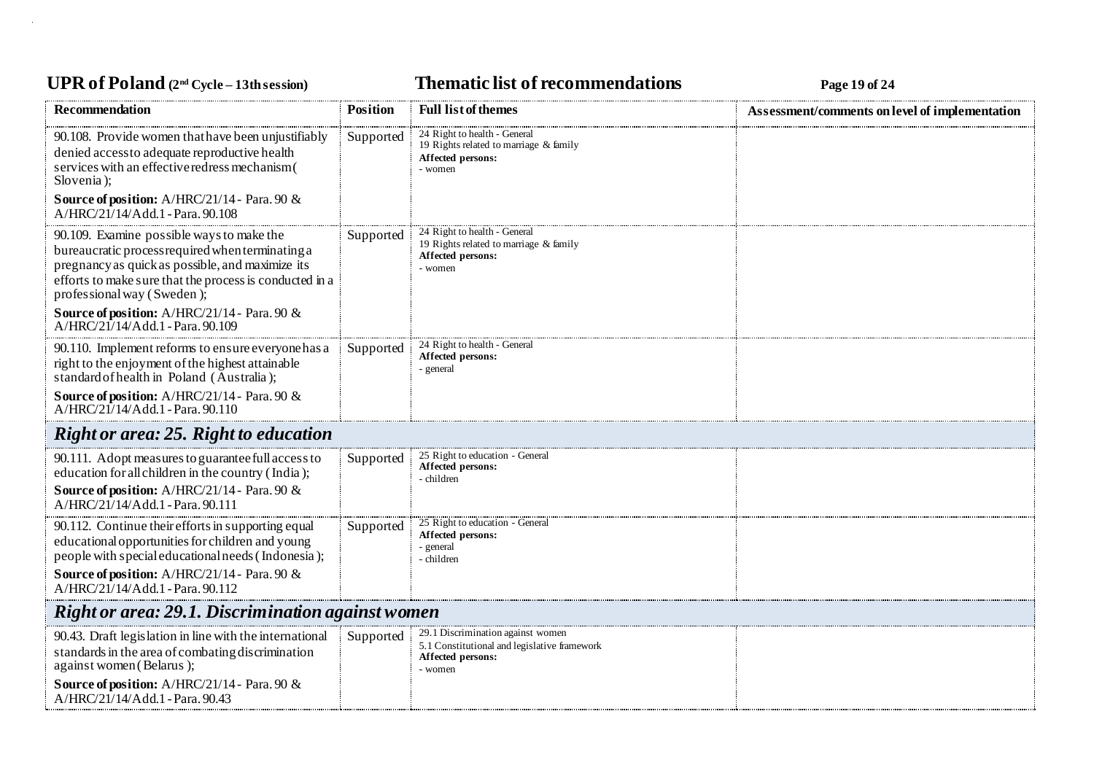# **UPR of Poland (2nd Cycle – 13th session) Thematic list of recommendations Page 19 of 24**

| <b>Recommendation</b>                                                                                                                                                                                                                                   | <b>Position</b> | <b>Full list of themes</b>                                                                                        | Assessment/comments on level of implementation |
|---------------------------------------------------------------------------------------------------------------------------------------------------------------------------------------------------------------------------------------------------------|-----------------|-------------------------------------------------------------------------------------------------------------------|------------------------------------------------|
| 90.108. Provide women that have been unjustifiably<br>denied access to adequate reproductive health<br>services with an effective redress mechanism (<br>Slovenia);                                                                                     | Supported       | 24 Right to health - General<br>19 Rights related to marriage & family<br>Affected persons:<br>- women            |                                                |
| <b>Source of position:</b> A/HRC/21/14 - Para. 90 &<br>A/HRC/21/14/Add.1 - Para. 90.108                                                                                                                                                                 |                 |                                                                                                                   |                                                |
| 90.109. Examine possible ways to make the<br>bureaucratic process required when terminating a<br>pregnancy as quick as possible, and maximize its<br>efforts to make sure that the process is conducted in a<br>professional way (Sweden);              | Supported       | 24 Right to health - General<br>19 Rights related to marriage & family<br>Affected persons:<br>- women            |                                                |
| <b>Source of position:</b> A/HRC/21/14 - Para. 90 &<br>A/HRC/21/14/Add.1 - Para. 90.109                                                                                                                                                                 |                 |                                                                                                                   |                                                |
| 90.110. Implement reforms to ensure everyone has a<br>right to the enjoyment of the highest attainable<br>standard of health in Poland (Australia);                                                                                                     | Supported       | 24 Right to health - General<br>Affected persons:<br>- general                                                    |                                                |
| Source of position: A/HRC/21/14 - Para. 90 &<br>A/HRC/21/14/Add.1 - Para. 90.110                                                                                                                                                                        |                 |                                                                                                                   |                                                |
| <b>Right or area: 25. Right to education</b>                                                                                                                                                                                                            |                 |                                                                                                                   |                                                |
| 90.111. Adopt measures to guarantee full access to<br>education for all children in the country (India);<br>Source of position: A/HRC/21/14 - Para. 90 &<br>A/HRC/21/14/Add.1 - Para. 90.111                                                            | Supported       | 25 Right to education - General<br>Affected persons:<br>- children                                                |                                                |
| 90.112. Continue their efforts in supporting equal<br>educational opportunities for children and young<br>people with special educational needs (Indonesia);<br><b>Source of position:</b> A/HRC/21/14 - Para. 90 &<br>A/HRC/21/14/Add.1 - Para. 90.112 | Supported       | 25 Right to education - General<br>Affected persons:<br>- general<br>- children                                   |                                                |
| Right or area: 29.1. Discrimination against women                                                                                                                                                                                                       |                 |                                                                                                                   |                                                |
| 90.43. Draft legislation in line with the international<br>standards in the area of combating discrimination<br>against women (Belarus);                                                                                                                | Supported       | 29.1 Discrimination against women<br>5.1 Constitutional and legislative framework<br>Affected persons:<br>- women |                                                |
| <b>Source of position:</b> A/HRC/21/14 - Para. 90 &<br>A/HRC/21/14/Add.1 - Para. 90.43                                                                                                                                                                  |                 |                                                                                                                   |                                                |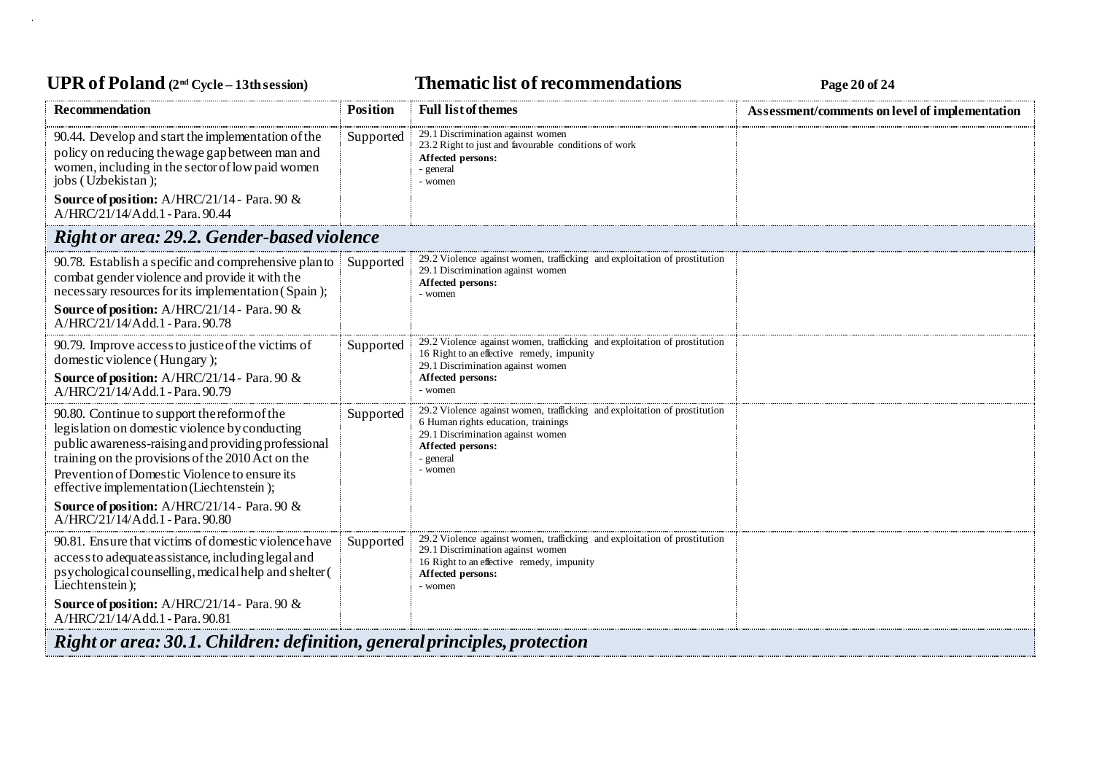### UPR of Poland  $(2^{nd}$  Cycle – 13th session) **Thematic list of recommendations Page 20** of 24

| Recommendation                                                                                                                                                                                                                                                                                                                                                                              | Position  | <b>Full list of themes</b>                                                                                                                                                                         | Assessment/comments on level of implementation |  |
|---------------------------------------------------------------------------------------------------------------------------------------------------------------------------------------------------------------------------------------------------------------------------------------------------------------------------------------------------------------------------------------------|-----------|----------------------------------------------------------------------------------------------------------------------------------------------------------------------------------------------------|------------------------------------------------|--|
| 90.44. Develop and start the implementation of the<br>policy on reducing the wage gap between man and<br>women, including in the sector of low paid women<br>jobs (Uzbekistan);                                                                                                                                                                                                             | Supported | 29.1 Discrimination against women<br>23.2 Right to just and favourable conditions of work<br>Affected persons:<br>- general<br>- women                                                             |                                                |  |
| <b>Source of position:</b> A/HRC/21/14 - Para. 90 &<br>A/HRC/21/14/Add.1 - Para. 90.44                                                                                                                                                                                                                                                                                                      |           |                                                                                                                                                                                                    |                                                |  |
| <b>Right or area: 29.2. Gender-based violence</b>                                                                                                                                                                                                                                                                                                                                           |           |                                                                                                                                                                                                    |                                                |  |
| 90.78. Establish a specific and comprehensive plan to<br>combat gender violence and provide it with the<br>necessary resources for its implementation (Spain);<br>Source of position: A/HRC/21/14 - Para. 90 &<br>A/HRC/21/14/Add.1 - Para. 90.78                                                                                                                                           | Supported | 29.2 Violence against women, trafficking and exploitation of prostitution<br>29.1 Discrimination against women<br>Affected persons:<br>- women                                                     |                                                |  |
| 90.79. Improve access to justice of the victims of<br>domestic violence (Hungary);<br>Source of position: A/HRC/21/14 - Para. 90 &<br>A/HRC/21/14/Add.1 - Para. 90.79                                                                                                                                                                                                                       | Supported | 29.2 Violence against women, trafficking and exploitation of prostitution<br>16 Right to an effective remedy, impunity<br>29.1 Discrimination against women<br>Affected persons:<br>- women        |                                                |  |
| 90.80. Continue to support the reform of the<br>legislation on domestic violence by conducting<br>public awareness-raising and providing professional<br>training on the provisions of the 2010 Act on the<br>Prevention of Domestic Violence to ensure its<br>effective implementation (Liechtenstein);<br>Source of position: A/HRC/21/14 - Para. 90 &<br>A/HRC/21/14/Add.1 - Para. 90.80 | Supported | 29.2 Violence against women, trafficking and exploitation of prostitution<br>6 Human rights education, trainings<br>29.1 Discrimination against women<br>Affected persons:<br>- general<br>- women |                                                |  |
| 90.81. Ensure that victims of domestic violence have<br>access to adequate assistance, including legal and<br>psychological counselling, medical help and shelter (<br>Liechtenstein);<br><b>Source of position:</b> A/HRC/21/14 - Para. 90 $\&$<br>A/HRC/21/14/Add.1 - Para. 90.81                                                                                                         | Supported | 29.2 Violence against women, trafficking and exploitation of prostitution<br>29.1 Discrimination against women<br>16 Right to an effective remedy, impunity<br>Affected persons:<br>- women        |                                                |  |
| <b>Right or area: 30.1. Children: definition, general principles, protection</b>                                                                                                                                                                                                                                                                                                            |           |                                                                                                                                                                                                    |                                                |  |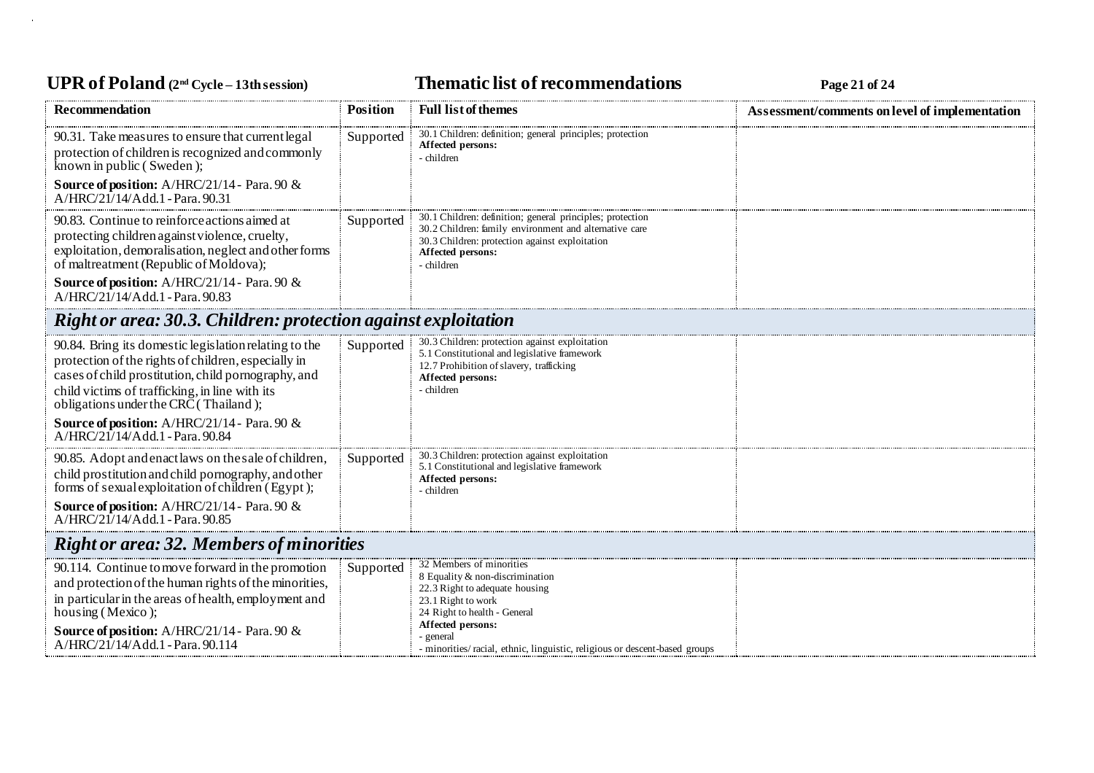# UPR of Poland  $(2^{nd}$  Cycle – 13th session) **Thematic list of recommendations Page 21 of 24**

| <b>Recommendation</b>                                                                                                                                                                                                                                                       | <b>Position</b> | <b>Full list of themes</b>                                                                                                                                                                                                                                          | Assessment/comments on level of implementation |  |
|-----------------------------------------------------------------------------------------------------------------------------------------------------------------------------------------------------------------------------------------------------------------------------|-----------------|---------------------------------------------------------------------------------------------------------------------------------------------------------------------------------------------------------------------------------------------------------------------|------------------------------------------------|--|
| 90.31. Take measures to ensure that current legal<br>protection of children is recognized and commonly<br>known in public (Sweden);<br><b>Source of position:</b> A/HRC/21/14 - Para. 90 &<br>A/HRC/21/14/Add.1 - Para. 90.31                                               | Supported       | 30.1 Children: definition; general principles; protection<br>Affected persons:<br>- children                                                                                                                                                                        |                                                |  |
| 90.83. Continue to reinforce actions aimed at<br>protecting children against violence, cruelty,<br>exploitation, demoralisation, neglect and other forms<br>of maltreatment (Republic of Moldova);                                                                          | Supported       | 30.1 Children: definition; general principles; protection<br>30.2 Children: family environment and alternative care<br>30.3 Children: protection against exploitation<br>Affected persons:<br>- children                                                            |                                                |  |
| Source of position: A/HRC/21/14 - Para. 90 &<br>A/HRC/21/14/Add.1 - Para. 90.83                                                                                                                                                                                             |                 |                                                                                                                                                                                                                                                                     |                                                |  |
| <b>Right or area: 30.3. Children: protection against exploitation</b>                                                                                                                                                                                                       |                 |                                                                                                                                                                                                                                                                     |                                                |  |
| 90.84. Bring its domestic legislation relating to the<br>protection of the rights of children, especially in<br>cases of child prostitution, child pornography, and<br>child victims of trafficking, in line with its<br>obligations under the CRC (Thailand);              | Supported       | 30.3 Children: protection against exploitation<br>5.1 Constitutional and legislative framework<br>12.7 Prohibition of slavery, trafficking<br>Affected persons:<br>- children                                                                                       |                                                |  |
| Source of position: A/HRC/21/14 - Para. 90 &<br>A/HRC/21/14/Add.1 - Para. 90.84                                                                                                                                                                                             |                 |                                                                                                                                                                                                                                                                     |                                                |  |
| 90.85. Adopt and enact laws on the sale of children,<br>child prostitution and child pornography, and other<br>forms of sexual exploitation of children (Egypt);                                                                                                            | Supported       | 30.3 Children: protection against exploitation<br>5.1 Constitutional and legislative framework<br>Affected persons:<br>- children                                                                                                                                   |                                                |  |
| Source of position: A/HRC/21/14 - Para. 90 &<br>A/HRC/21/14/Add.1 - Para. 90.85                                                                                                                                                                                             |                 |                                                                                                                                                                                                                                                                     |                                                |  |
| <b>Right or area: 32. Members of minorities</b>                                                                                                                                                                                                                             |                 |                                                                                                                                                                                                                                                                     |                                                |  |
| 90.114. Continue to move forward in the promotion<br>and protection of the human rights of the minorities,<br>in particular in the areas of health, employment and<br>housing (Mexico);<br>Source of position: A/HRC/21/14 - Para. 90 &<br>A/HRC/21/14/Add.1 - Para, 90.114 | Supported       | 32 Members of minorities<br>8 Equality & non-discrimination<br>22.3 Right to adequate housing<br>23.1 Right to work<br>24 Right to health - General<br>Affected persons:<br>- general<br>- minorities/racial, ethnic, linguistic, religious or descent-based groups |                                                |  |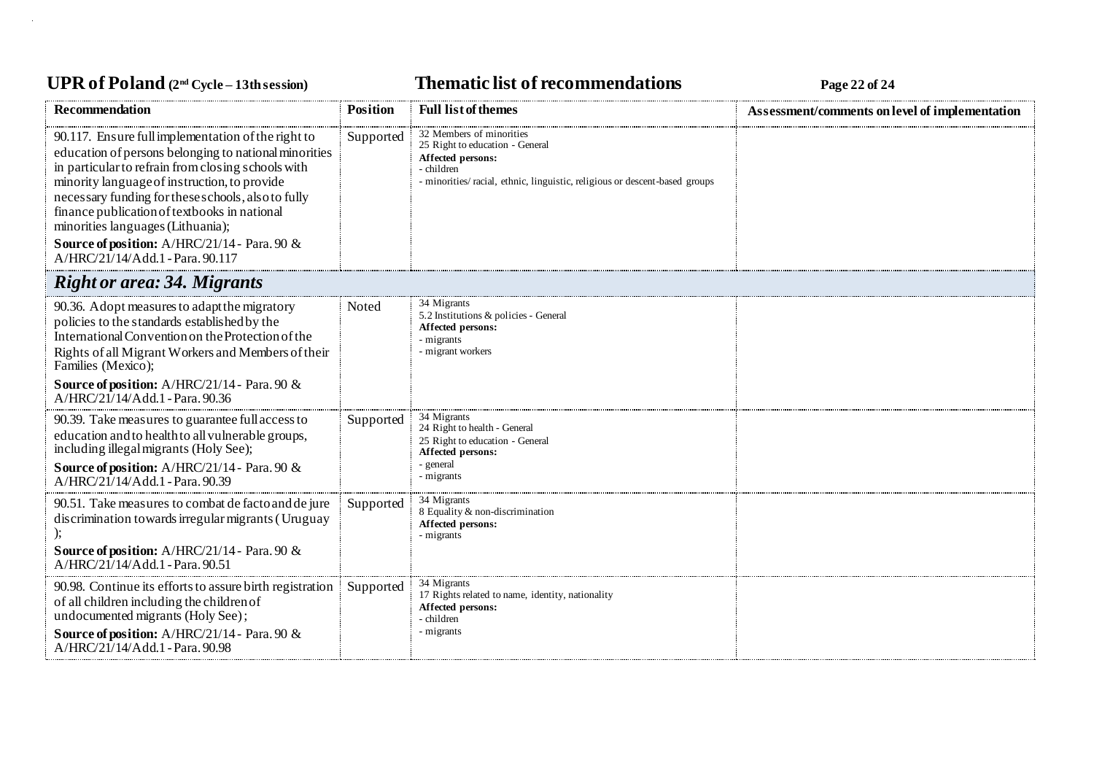# UPR of Poland  $(2^{nd}$  Cycle – 13th session) **Thematic list of recommendations Page 22** of 24

| <b>Recommendation</b>                                                                                                                                                                                                                                                                                                                                                                                                                            | <b>Position</b> | <b>Full list of themes</b>                                                                                                                                                 | Assessment/comments on level of implementation |
|--------------------------------------------------------------------------------------------------------------------------------------------------------------------------------------------------------------------------------------------------------------------------------------------------------------------------------------------------------------------------------------------------------------------------------------------------|-----------------|----------------------------------------------------------------------------------------------------------------------------------------------------------------------------|------------------------------------------------|
| 90.117. Ensure full implementation of the right to<br>education of persons belonging to national minorities<br>in particular to refrain from closing schools with<br>minority language of instruction, to provide<br>necessary funding for these schools, also to fully<br>finance publication of textbooks in national<br>minorities languages (Lithuania);<br>Source of position: A/HRC/21/14 - Para. 90 &<br>A/HRC/21/14/Add.1 - Para. 90.117 | Supported       | 32 Members of minorities<br>25 Right to education - General<br>Affected persons:<br>children<br>- minorities/racial, ethnic, linguistic, religious or descent-based groups |                                                |
| <b>Right or area: 34. Migrants</b>                                                                                                                                                                                                                                                                                                                                                                                                               |                 |                                                                                                                                                                            |                                                |
| 90.36. Adopt measures to adapt the migratory<br>policies to the standards established by the<br>International Convention on the Protection of the<br>Rights of all Migrant Workers and Members of their<br>Families (Mexico);<br>Source of position: A/HRC/21/14 - Para. 90 &<br>$A/HRC/21/14/Add.1 - Para. 90.36$                                                                                                                               | Noted           | 34 Migrants<br>5.2 Institutions & policies - General<br>Affected persons:<br>- migrants<br>migrant workers                                                                 |                                                |
| 90.39. Take measures to guarantee full access to<br>education and to health to all vulnerable groups,<br>including illegal migrants (Holy See);<br>Source of position: A/HRC/21/14 - Para. 90 &<br>$A/HRC/21/14/Add.1 - Para. 90.39$                                                                                                                                                                                                             | Supported       | 34 Migrants<br>24 Right to health - General<br>25 Right to education - General<br>Affected persons:<br>general<br>migrants                                                 |                                                |
| 90.51. Take measures to combat de facto and de jure<br>discrimination towards irregular migrants (Uruguay<br>Source of position: A/HRC/21/14 - Para. 90 &<br>$A/HRC/21/14/Add.1$ - Para, 90.51                                                                                                                                                                                                                                                   | Supported       | 34 Migrants<br>8 Equality & non-discrimination<br>Affected persons:<br>- migrants                                                                                          |                                                |
| 90.98. Continue its efforts to assure birth registration<br>of all children including the children of<br>undocumented migrants (Holy See);<br>Source of position: A/HRC/21/14 - Para. 90 &<br>A/HRC/21/14/Add.1 - Para. 90.98                                                                                                                                                                                                                    | Supported       | 34 Migrants<br>17 Rights related to name, identity, nationality<br>Affected persons:<br>children<br>migrants -                                                             |                                                |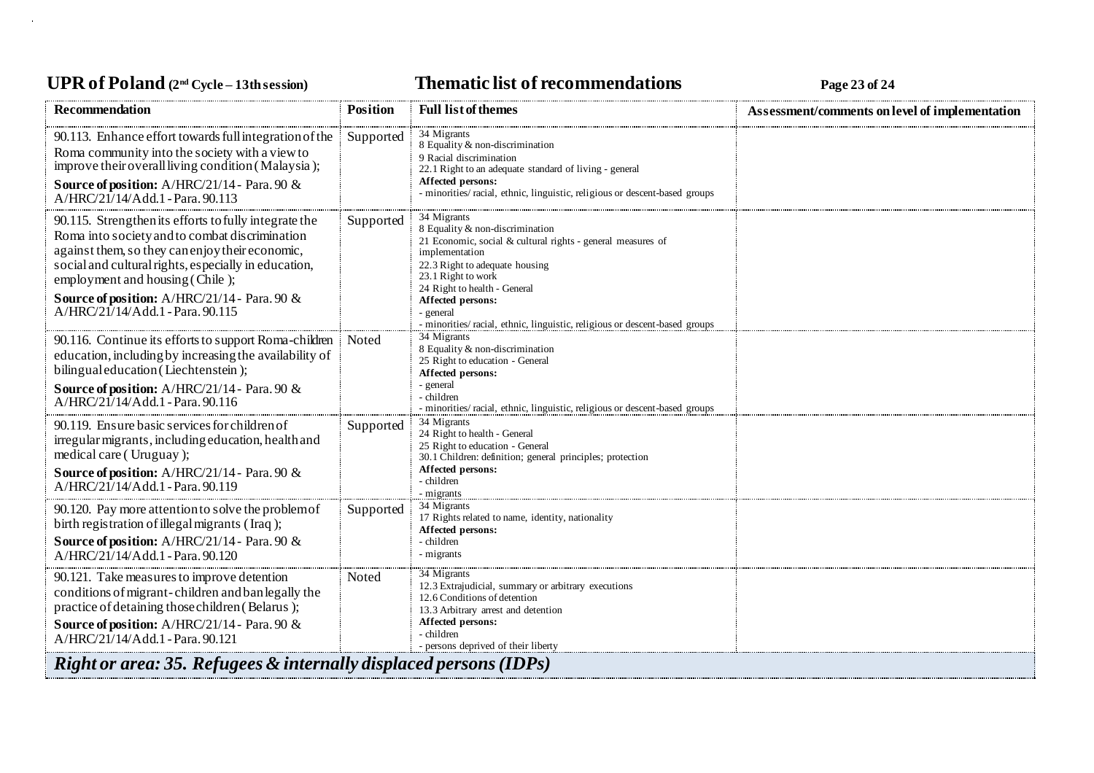# UPR of Poland  $(2^{nd}$  Cycle – 13th session) **Thematic list of recommendations Page 23** of 24

| <b>Recommendation</b>                                                                                                                                                                                                                                                                                                                     | <b>Position</b> | <b>Full list of themes</b>                                                                                                                                                                                                                                                                                                                    | Assessment/comments on level of implementation |
|-------------------------------------------------------------------------------------------------------------------------------------------------------------------------------------------------------------------------------------------------------------------------------------------------------------------------------------------|-----------------|-----------------------------------------------------------------------------------------------------------------------------------------------------------------------------------------------------------------------------------------------------------------------------------------------------------------------------------------------|------------------------------------------------|
| 90.113. Enhance effort towards full integration of the<br>Roma community into the society with a view to<br>improve their overall living condition (Malaysia);<br>Source of position: A/HRC/21/14 - Para. 90 &<br>$A/HRC/21/14/Add.1$ - Para, 90.113                                                                                      | Supported       | 34 Migrants<br>8 Equality & non-discrimination<br>9 Racial discrimination<br>22.1 Right to an adequate standard of living - general<br>Affected persons:<br>- minorities/racial, ethnic, linguistic, religious or descent-based groups                                                                                                        |                                                |
| 90.115. Strengthen its efforts to fully integrate the<br>Roma into society and to combat discrimination<br>against them, so they can enjoy their economic,<br>social and cultural rights, especially in education,<br>employment and housing (Chile);<br>Source of position: A/HRC/21/14 - Para. 90 &<br>A/HRC/21/14/Add.1 - Para, 90.115 | Supported       | 34 Migrants<br>8 Equality & non-discrimination<br>21 Economic, social & cultural rights - general measures of<br>implementation<br>22.3 Right to adequate housing<br>23.1 Right to work<br>24 Right to health - General<br><b>Affected persons:</b><br>general<br>- minorities/ racial, ethnic, linguistic, religious or descent-based groups |                                                |
| 90.116. Continue its efforts to support Roma-children<br>education, including by increasing the availability of<br>bilingual education (Liechtenstein);<br>Source of position: A/HRC/21/14 - Para. 90 &<br>A/HRC/21/14/Add.1 - Para. 90.116                                                                                               | Noted           | 34 Migrants<br>8 Equality & non-discrimination<br>25 Right to education - General<br>Affected persons:<br>- general<br>children<br>- minorities/racial, ethnic, linguistic, religious or descent-based groups                                                                                                                                 |                                                |
| 90.119. Ensure basic services for children of<br>irregular migrants, including education, health and<br>medical care (Uruguay);<br>Source of position: A/HRC/21/14 - Para. 90 &<br>A/HRC/21/14/Add.1 - Para. 90.119                                                                                                                       | Supported       | 34 Migrants<br>24 Right to health - General<br>25 Right to education - General<br>30.1 Children: definition; general principles; protection<br>Affected persons:<br>children<br>- migrants                                                                                                                                                    |                                                |
| 90.120. Pay more attention to solve the problem of<br>birth registration of illegal migrants (Iraq);<br>Source of position: A/HRC/21/14 - Para. 90 &<br>A/HRC/21/14/Add.1 - Para. 90.120                                                                                                                                                  | Supported       | 34 Migrants<br>17 Rights related to name, identity, nationality<br><b>Affected persons:</b><br>- children<br>- migrants                                                                                                                                                                                                                       |                                                |
| 90.121. Take measures to improve detention<br>conditions of migrant-children and ban legally the<br>practice of detaining those children (Belarus);<br><b>Source of position:</b> A/HRC/21/14 - Para. 90 &<br>A/HRC/21/14/Add.1 - Para. 90.121                                                                                            | Noted           | 34 Migrants<br>12.3 Extrajudicial, summary or arbitrary executions<br>12.6 Conditions of detention<br>13.3 Arbitrary arrest and detention<br>Affected persons:<br>- children<br>persons deprived of their liberty                                                                                                                             |                                                |
| <b>Right or area: 35. Refugees &amp; internally displaced persons (IDPs)</b>                                                                                                                                                                                                                                                              |                 |                                                                                                                                                                                                                                                                                                                                               |                                                |